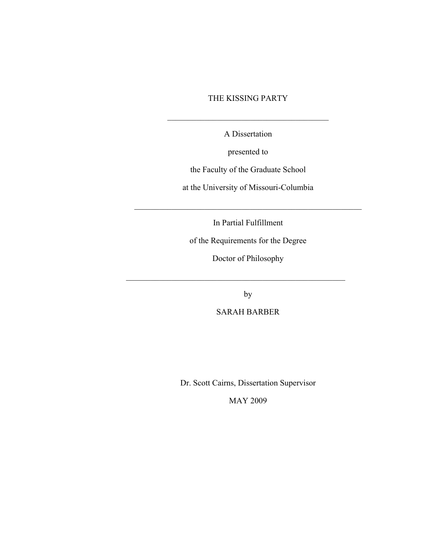## THE KISSING PARTY

 $\mathcal{L}_\text{max}$  and  $\mathcal{L}_\text{max}$  and  $\mathcal{L}_\text{max}$  and  $\mathcal{L}_\text{max}$ 

A Dissertation

presented to

the Faculty of the Graduate School

at the University of Missouri-Columbia

 $\mathcal{L}_\text{max}$  , and the contract of the contract of the contract of the contract of the contract of the contract of the contract of the contract of the contract of the contract of the contract of the contract of the contr

In Partial Fulfillment

of the Requirements for the Degree

Doctor of Philosophy

by

 $\mathcal{L}_\text{max}$  , and the contract of the contract of the contract of the contract of the contract of the contract of the contract of the contract of the contract of the contract of the contract of the contract of the contr

SARAH BARBER

Dr. Scott Cairns, Dissertation Supervisor

MAY 2009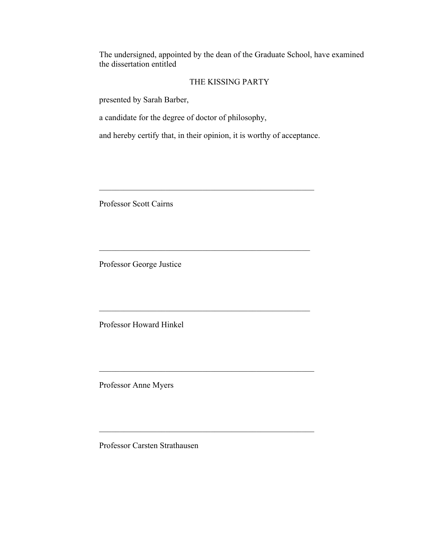The undersigned, appointed by the dean of the Graduate School, have examined the dissertation entitled

## THE KISSING PARTY

presented by Sarah Barber,

a candidate for the degree of doctor of philosophy,

and hereby certify that, in their opinion, it is worthy of acceptance.

 $\mathcal{L}_\text{max}$  and the contract of the contract of the contract of the contract of the contract of the contract of the contract of the contract of the contract of the contract of the contract of the contract of the contrac

 $\mathcal{L}_\text{max}$  , and the contract of the contract of the contract of the contract of the contract of the contract of the contract of the contract of the contract of the contract of the contract of the contract of the contr

 $\mathcal{L}_\text{max}$  , and the contract of the contract of the contract of the contract of the contract of the contract of the contract of the contract of the contract of the contract of the contract of the contract of the contr

 $\mathcal{L}_\text{max}$  , and the contract of the contract of the contract of the contract of the contract of the contract of

 $\mathcal{L}_\text{max}$  , and the contract of the contract of the contract of the contract of the contract of the contract of

Professor Scott Cairns

Professor George Justice

Professor Howard Hinkel

Professor Anne Myers

Professor Carsten Strathausen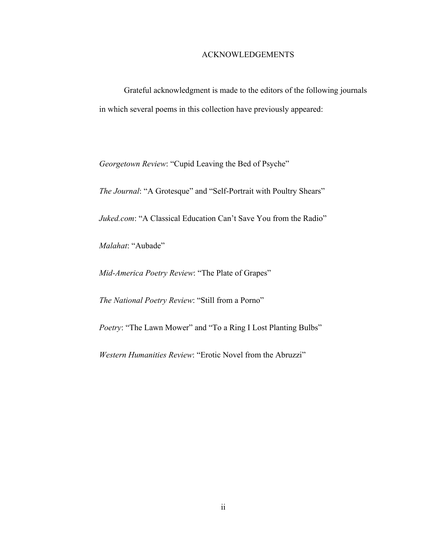### ACKNOWLEDGEMENTS

Grateful acknowledgment is made to the editors of the following journals in which several poems in this collection have previously appeared:

*Georgetown Review*: "Cupid Leaving the Bed of Psyche"

*The Journal*: "A Grotesque" and "Self-Portrait with Poultry Shears"

*Juked.com*: "A Classical Education Can't Save You from the Radio"

*Malahat*: "Aubade"

*Mid-America Poetry Review*: "The Plate of Grapes"

*The National Poetry Review*: "Still from a Porno"

*Poetry*: "The Lawn Mower" and "To a Ring I Lost Planting Bulbs"

*Western Humanities Review*: "Erotic Novel from the Abruzzi"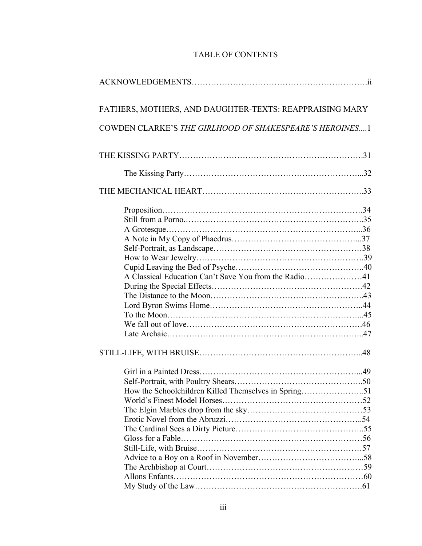# TABLE OF CONTENTS

| FATHERS, MOTHERS, AND DAUGHTER-TEXTS: REAPPRAISING MARY |  |
|---------------------------------------------------------|--|
| COWDEN CLARKE'S THE GIRLHOOD OF SHAKESPEARE'S HEROINES1 |  |
|                                                         |  |
|                                                         |  |
|                                                         |  |
|                                                         |  |
|                                                         |  |
|                                                         |  |
|                                                         |  |
|                                                         |  |
|                                                         |  |
|                                                         |  |
|                                                         |  |
|                                                         |  |
|                                                         |  |
|                                                         |  |
|                                                         |  |
|                                                         |  |
|                                                         |  |
|                                                         |  |
|                                                         |  |
|                                                         |  |
| How the Schoolchildren Killed Themselves in Spring51    |  |
|                                                         |  |
|                                                         |  |
|                                                         |  |
|                                                         |  |
|                                                         |  |
|                                                         |  |
|                                                         |  |
|                                                         |  |
|                                                         |  |
|                                                         |  |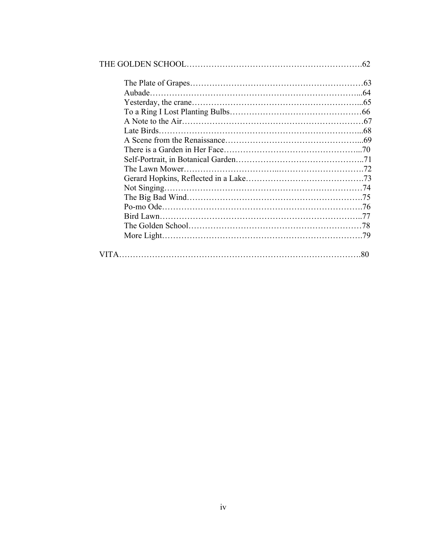| Not Singing. |    |
|--------------|----|
|              |    |
|              |    |
|              |    |
|              |    |
|              |    |
|              | 80 |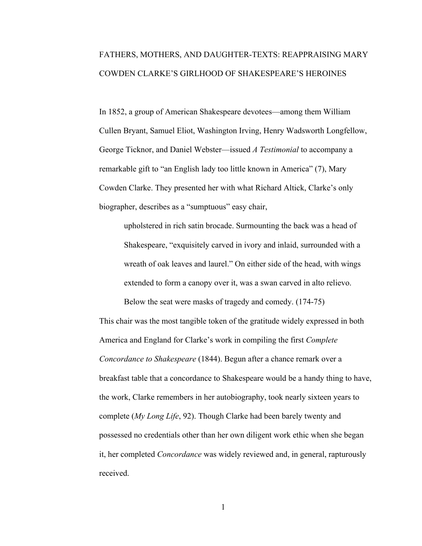# FATHERS, MOTHERS, AND DAUGHTER-TEXTS: REAPPRAISING MARY COWDEN CLARKE'S GIRLHOOD OF SHAKESPEARE'S HEROINES

In 1852, a group of American Shakespeare devotees—among them William Cullen Bryant, Samuel Eliot, Washington Irving, Henry Wadsworth Longfellow, George Ticknor, and Daniel Webster—issued *A Testimonial* to accompany a remarkable gift to "an English lady too little known in America" (7), Mary Cowden Clarke. They presented her with what Richard Altick, Clarke's only biographer, describes as a "sumptuous" easy chair,

upholstered in rich satin brocade. Surmounting the back was a head of Shakespeare, "exquisitely carved in ivory and inlaid, surrounded with a wreath of oak leaves and laurel." On either side of the head, with wings extended to form a canopy over it, was a swan carved in alto relievo.

Below the seat were masks of tragedy and comedy. (174-75) This chair was the most tangible token of the gratitude widely expressed in both America and England for Clarke's work in compiling the first *Complete Concordance to Shakespeare* (1844). Begun after a chance remark over a breakfast table that a concordance to Shakespeare would be a handy thing to have, the work, Clarke remembers in her autobiography, took nearly sixteen years to complete (*My Long Life*, 92). Though Clarke had been barely twenty and possessed no credentials other than her own diligent work ethic when she began it, her completed *Concordance* was widely reviewed and, in general, rapturously received.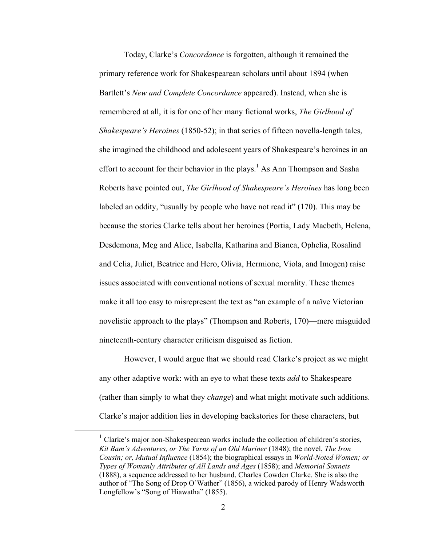Today, Clarke's *Concordance* is forgotten, although it remained the primary reference work for Shakespearean scholars until about 1894 (when Bartlett's *New and Complete Concordance* appeared). Instead, when she is remembered at all, it is for one of her many fictional works, *The Girlhood of Shakespeare's Heroines* (1850-52); in that series of fifteen novella-length tales, she imagined the childhood and adolescent years of Shakespeare's heroines in an effort to account for their behavior in the plays.<sup>1</sup> As Ann Thompson and Sasha Roberts have pointed out, *The Girlhood of Shakespeare's Heroines* has long been labeled an oddity, "usually by people who have not read it" (170). This may be because the stories Clarke tells about her heroines (Portia, Lady Macbeth, Helena, Desdemona, Meg and Alice, Isabella, Katharina and Bianca, Ophelia, Rosalind and Celia, Juliet, Beatrice and Hero, Olivia, Hermione, Viola, and Imogen) raise issues associated with conventional notions of sexual morality. These themes make it all too easy to misrepresent the text as "an example of a naïve Victorian novelistic approach to the plays" (Thompson and Roberts, 170)—mere misguided nineteenth-century character criticism disguised as fiction.

However, I would argue that we should read Clarke's project as we might any other adaptive work: with an eye to what these texts *add* to Shakespeare (rather than simply to what they *change*) and what might motivate such additions. Clarke's major addition lies in developing backstories for these characters, but

 $<sup>1</sup>$  Clarke's major non-Shakespearean works include the collection of children's stories,</sup> *Kit Bam's Adventures, or The Yarns of an Old Mariner* (1848); the novel, *The Iron Cousin; or, Mutual Influence* (1854); the biographical essays in *World-Noted Women; or Types of Womanly Attributes of All Lands and Ages* (1858); and *Memorial Sonnets* (1888), a sequence addressed to her husband, Charles Cowden Clarke. She is also the author of "The Song of Drop O'Wather" (1856), a wicked parody of Henry Wadsworth Longfellow's "Song of Hiawatha" (1855).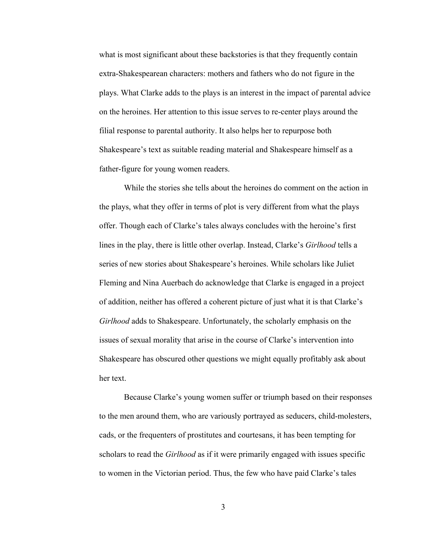what is most significant about these backstories is that they frequently contain extra-Shakespearean characters: mothers and fathers who do not figure in the plays. What Clarke adds to the plays is an interest in the impact of parental advice on the heroines. Her attention to this issue serves to re-center plays around the filial response to parental authority. It also helps her to repurpose both Shakespeare's text as suitable reading material and Shakespeare himself as a father-figure for young women readers.

While the stories she tells about the heroines do comment on the action in the plays, what they offer in terms of plot is very different from what the plays offer. Though each of Clarke's tales always concludes with the heroine's first lines in the play, there is little other overlap. Instead, Clarke's *Girlhood* tells a series of new stories about Shakespeare's heroines. While scholars like Juliet Fleming and Nina Auerbach do acknowledge that Clarke is engaged in a project of addition, neither has offered a coherent picture of just what it is that Clarke's *Girlhood* adds to Shakespeare. Unfortunately, the scholarly emphasis on the issues of sexual morality that arise in the course of Clarke's intervention into Shakespeare has obscured other questions we might equally profitably ask about her text.

Because Clarke's young women suffer or triumph based on their responses to the men around them, who are variously portrayed as seducers, child-molesters, cads, or the frequenters of prostitutes and courtesans, it has been tempting for scholars to read the *Girlhood* as if it were primarily engaged with issues specific to women in the Victorian period. Thus, the few who have paid Clarke's tales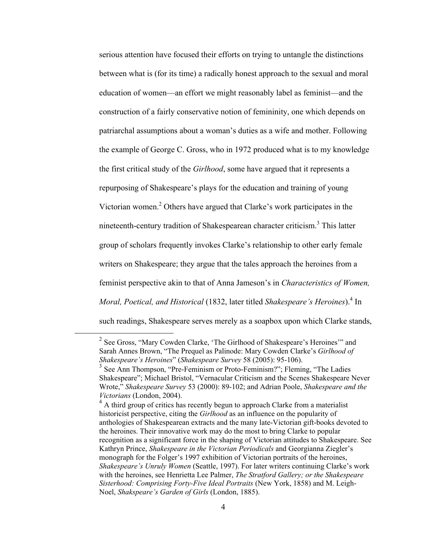serious attention have focused their efforts on trying to untangle the distinctions between what is (for its time) a radically honest approach to the sexual and moral education of women—an effort we might reasonably label as feminist—and the construction of a fairly conservative notion of femininity, one which depends on patriarchal assumptions about a woman's duties as a wife and mother. Following the example of George C. Gross, who in 1972 produced what is to my knowledge the first critical study of the *Girlhood*, some have argued that it represents a repurposing of Shakespeare's plays for the education and training of young Victorian women.<sup>2</sup> Others have argued that Clarke's work participates in the nineteenth-century tradition of Shakespearean character criticism.<sup>3</sup> This latter group of scholars frequently invokes Clarke's relationship to other early female writers on Shakespeare; they argue that the tales approach the heroines from a feminist perspective akin to that of Anna Jameson's in *Characteristics of Women,*  Moral, Poetical, and Historical (1832, later titled *Shakespeare's Heroines*).<sup>4</sup> In such readings, Shakespeare serves merely as a soapbox upon which Clarke stands,

 <sup>2</sup> See Gross, "Mary Cowden Clarke, 'The Girlhood of Shakespeare's Heroines'" and Sarah Annes Brown, "The Prequel as Palinode: Mary Cowden Clarke's *Girlhood of Shakespeare's Heroines*" (*Shakespeare Survey* 58 (2005): 95-106).

<sup>&</sup>lt;sup>3</sup> See Ann Thompson, "Pre-Feminism or Proto-Feminism?"; Fleming, "The Ladies Shakespeare"; Michael Bristol, "Vernacular Criticism and the Scenes Shakespeare Never Wrote," *Shakespeare Survey* 53 (2000): 89-102; and Adrian Poole, *Shakespeare and the Victorians* (London, 2004).

<sup>&</sup>lt;sup>4</sup> A third group of critics has recently begun to approach Clarke from a materialist historicist perspective, citing the *Girlhood* as an influence on the popularity of anthologies of Shakespearean extracts and the many late-Victorian gift-books devoted to the heroines. Their innovative work may do the most to bring Clarke to popular recognition as a significant force in the shaping of Victorian attitudes to Shakespeare. See Kathryn Prince, *Shakespeare in the Victorian Periodicals* and Georgianna Ziegler's monograph for the Folger's 1997 exhibition of Victorian portraits of the heroines, *Shakespeare's Unruly Women* (Seattle, 1997). For later writers continuing Clarke's work with the heroines, see Henrietta Lee Palmer, *The Stratford Gallery; or the Shakespeare Sisterhood: Comprising Forty-Five Ideal Portraits* (New York, 1858) and M. Leigh-Noel, *Shakspeare's Garden of Girls* (London, 1885).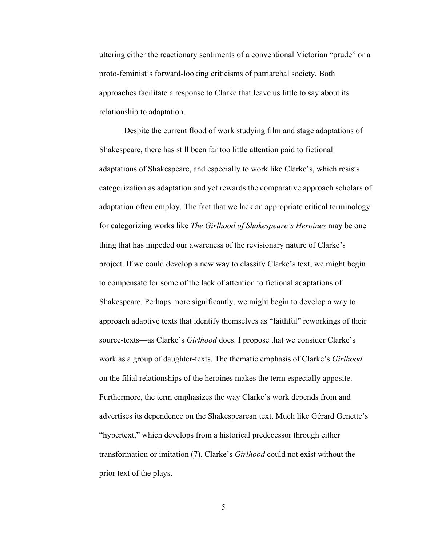uttering either the reactionary sentiments of a conventional Victorian "prude" or a proto-feminist's forward-looking criticisms of patriarchal society. Both approaches facilitate a response to Clarke that leave us little to say about its relationship to adaptation.

Despite the current flood of work studying film and stage adaptations of Shakespeare, there has still been far too little attention paid to fictional adaptations of Shakespeare, and especially to work like Clarke's, which resists categorization as adaptation and yet rewards the comparative approach scholars of adaptation often employ. The fact that we lack an appropriate critical terminology for categorizing works like *The Girlhood of Shakespeare's Heroines* may be one thing that has impeded our awareness of the revisionary nature of Clarke's project. If we could develop a new way to classify Clarke's text, we might begin to compensate for some of the lack of attention to fictional adaptations of Shakespeare. Perhaps more significantly, we might begin to develop a way to approach adaptive texts that identify themselves as "faithful" reworkings of their source-texts—as Clarke's *Girlhood* does. I propose that we consider Clarke's work as a group of daughter-texts. The thematic emphasis of Clarke's *Girlhood*  on the filial relationships of the heroines makes the term especially apposite. Furthermore, the term emphasizes the way Clarke's work depends from and advertises its dependence on the Shakespearean text. Much like Gérard Genette's "hypertext," which develops from a historical predecessor through either transformation or imitation (7), Clarke's *Girlhood* could not exist without the prior text of the plays.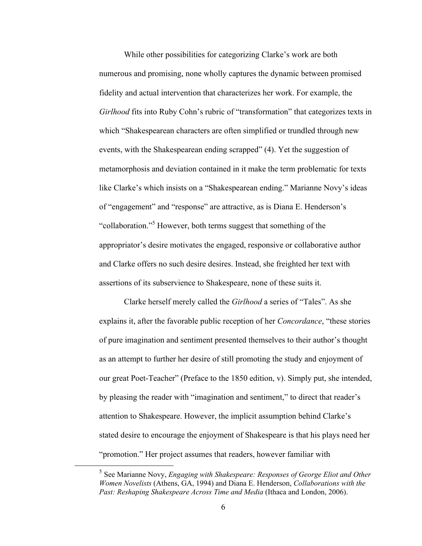While other possibilities for categorizing Clarke's work are both numerous and promising, none wholly captures the dynamic between promised fidelity and actual intervention that characterizes her work. For example, the *Girlhood* fits into Ruby Cohn's rubric of "transformation" that categorizes texts in which "Shakespearean characters are often simplified or trundled through new events, with the Shakespearean ending scrapped" (4). Yet the suggestion of metamorphosis and deviation contained in it make the term problematic for texts like Clarke's which insists on a "Shakespearean ending." Marianne Novy's ideas of "engagement" and "response" are attractive, as is Diana E. Henderson's "collaboration."<sup>5</sup> However, both terms suggest that something of the appropriator's desire motivates the engaged, responsive or collaborative author and Clarke offers no such desire desires. Instead, she freighted her text with assertions of its subservience to Shakespeare, none of these suits it.

Clarke herself merely called the *Girlhood* a series of "Tales". As she explains it, after the favorable public reception of her *Concordance*, "these stories of pure imagination and sentiment presented themselves to their author's thought as an attempt to further her desire of still promoting the study and enjoyment of our great Poet-Teacher" (Preface to the 1850 edition, v). Simply put, she intended, by pleasing the reader with "imagination and sentiment," to direct that reader's attention to Shakespeare. However, the implicit assumption behind Clarke's stated desire to encourage the enjoyment of Shakespeare is that his plays need her "promotion." Her project assumes that readers, however familiar with

 <sup>5</sup> See Marianne Novy, *Engaging with Shakespeare: Responses of George Eliot and Other Women Novelists* (Athens, GA, 1994) and Diana E. Henderson, *Collaborations with the Past: Reshaping Shakespeare Across Time and Media* (Ithaca and London, 2006).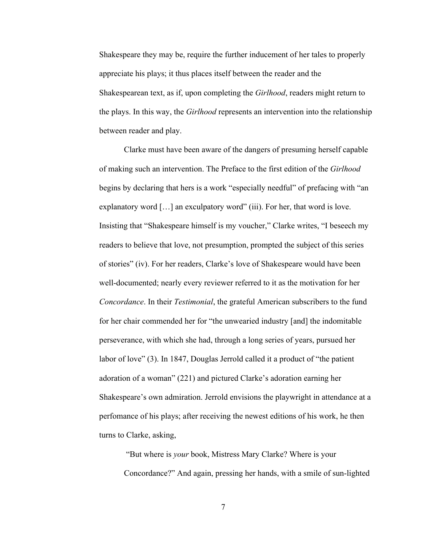Shakespeare they may be, require the further inducement of her tales to properly appreciate his plays; it thus places itself between the reader and the Shakespearean text, as if, upon completing the *Girlhood*, readers might return to the plays. In this way, the *Girlhood* represents an intervention into the relationship between reader and play.

Clarke must have been aware of the dangers of presuming herself capable of making such an intervention. The Preface to the first edition of the *Girlhood* begins by declaring that hers is a work "especially needful" of prefacing with "an explanatory word [...] an exculpatory word" (iii). For her, that word is love. Insisting that "Shakespeare himself is my voucher," Clarke writes, "I beseech my readers to believe that love, not presumption, prompted the subject of this series of stories" (iv). For her readers, Clarke's love of Shakespeare would have been well-documented; nearly every reviewer referred to it as the motivation for her *Concordance*. In their *Testimonial*, the grateful American subscribers to the fund for her chair commended her for "the unwearied industry [and] the indomitable perseverance, with which she had, through a long series of years, pursued her labor of love" (3). In 1847, Douglas Jerrold called it a product of "the patient adoration of a woman" (221) and pictured Clarke's adoration earning her Shakespeare's own admiration. Jerrold envisions the playwright in attendance at a perfomance of his plays; after receiving the newest editions of his work, he then turns to Clarke, asking,

 "But where is *your* book, Mistress Mary Clarke? Where is your Concordance?" And again, pressing her hands, with a smile of sun-lighted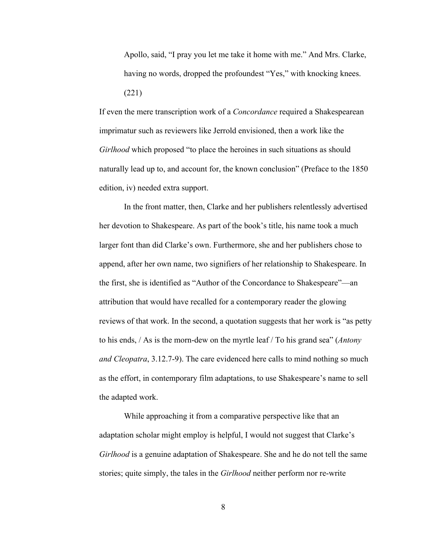Apollo, said, "I pray you let me take it home with me." And Mrs. Clarke, having no words, dropped the profoundest "Yes," with knocking knees. (221)

If even the mere transcription work of a *Concordance* required a Shakespearean imprimatur such as reviewers like Jerrold envisioned, then a work like the *Girlhood* which proposed "to place the heroines in such situations as should naturally lead up to, and account for, the known conclusion" (Preface to the 1850 edition, iv) needed extra support.

In the front matter, then, Clarke and her publishers relentlessly advertised her devotion to Shakespeare. As part of the book's title, his name took a much larger font than did Clarke's own. Furthermore, she and her publishers chose to append, after her own name, two signifiers of her relationship to Shakespeare. In the first, she is identified as "Author of the Concordance to Shakespeare"—an attribution that would have recalled for a contemporary reader the glowing reviews of that work. In the second, a quotation suggests that her work is "as petty to his ends, / As is the morn-dew on the myrtle leaf / To his grand sea" (*Antony and Cleopatra*, 3.12.7-9). The care evidenced here calls to mind nothing so much as the effort, in contemporary film adaptations, to use Shakespeare's name to sell the adapted work.

While approaching it from a comparative perspective like that an adaptation scholar might employ is helpful, I would not suggest that Clarke's *Girlhood* is a genuine adaptation of Shakespeare. She and he do not tell the same stories; quite simply, the tales in the *Girlhood* neither perform nor re-write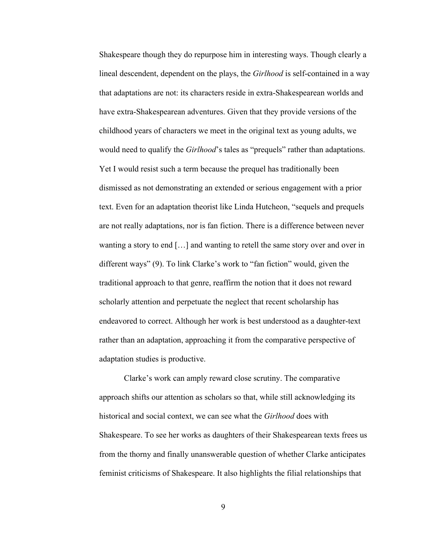Shakespeare though they do repurpose him in interesting ways. Though clearly a lineal descendent, dependent on the plays, the *Girlhood* is self-contained in a way that adaptations are not: its characters reside in extra-Shakespearean worlds and have extra-Shakespearean adventures. Given that they provide versions of the childhood years of characters we meet in the original text as young adults, we would need to qualify the *Girlhood*'s tales as "prequels" rather than adaptations. Yet I would resist such a term because the prequel has traditionally been dismissed as not demonstrating an extended or serious engagement with a prior text. Even for an adaptation theorist like Linda Hutcheon, "sequels and prequels are not really adaptations, nor is fan fiction. There is a difference between never wanting a story to end […] and wanting to retell the same story over and over in different ways" (9). To link Clarke's work to "fan fiction" would, given the traditional approach to that genre, reaffirm the notion that it does not reward scholarly attention and perpetuate the neglect that recent scholarship has endeavored to correct. Although her work is best understood as a daughter-text rather than an adaptation, approaching it from the comparative perspective of adaptation studies is productive.

Clarke's work can amply reward close scrutiny. The comparative approach shifts our attention as scholars so that, while still acknowledging its historical and social context, we can see what the *Girlhood* does with Shakespeare. To see her works as daughters of their Shakespearean texts frees us from the thorny and finally unanswerable question of whether Clarke anticipates feminist criticisms of Shakespeare. It also highlights the filial relationships that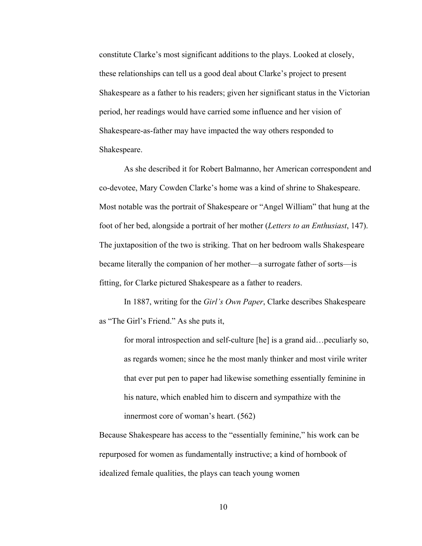constitute Clarke's most significant additions to the plays. Looked at closely, these relationships can tell us a good deal about Clarke's project to present Shakespeare as a father to his readers; given her significant status in the Victorian period, her readings would have carried some influence and her vision of Shakespeare-as-father may have impacted the way others responded to Shakespeare.

As she described it for Robert Balmanno, her American correspondent and co-devotee, Mary Cowden Clarke's home was a kind of shrine to Shakespeare. Most notable was the portrait of Shakespeare or "Angel William" that hung at the foot of her bed, alongside a portrait of her mother (*Letters to an Enthusiast*, 147). The juxtaposition of the two is striking. That on her bedroom walls Shakespeare became literally the companion of her mother—a surrogate father of sorts—is fitting, for Clarke pictured Shakespeare as a father to readers.

In 1887, writing for the *Girl's Own Paper*, Clarke describes Shakespeare as "The Girl's Friend." As she puts it,

for moral introspection and self-culture [he] is a grand aid…peculiarly so, as regards women; since he the most manly thinker and most virile writer that ever put pen to paper had likewise something essentially feminine in his nature, which enabled him to discern and sympathize with the innermost core of woman's heart. (562)

Because Shakespeare has access to the "essentially feminine," his work can be repurposed for women as fundamentally instructive; a kind of hornbook of idealized female qualities, the plays can teach young women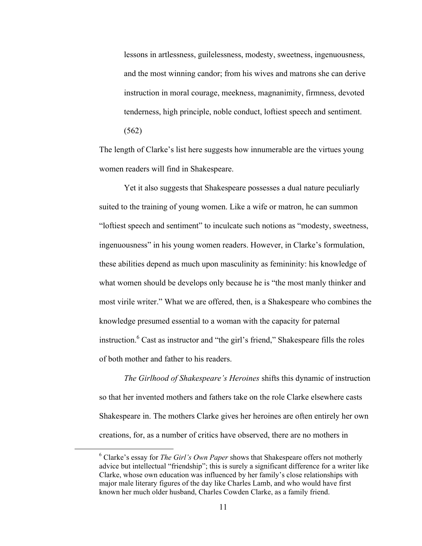lessons in artlessness, guilelessness, modesty, sweetness, ingenuousness, and the most winning candor; from his wives and matrons she can derive instruction in moral courage, meekness, magnanimity, firmness, devoted tenderness, high principle, noble conduct, loftiest speech and sentiment. (562)

The length of Clarke's list here suggests how innumerable are the virtues young women readers will find in Shakespeare.

Yet it also suggests that Shakespeare possesses a dual nature peculiarly suited to the training of young women. Like a wife or matron, he can summon "loftiest speech and sentiment" to inculcate such notions as "modesty, sweetness, ingenuousness" in his young women readers. However, in Clarke's formulation, these abilities depend as much upon masculinity as femininity: his knowledge of what women should be develops only because he is "the most manly thinker and most virile writer." What we are offered, then, is a Shakespeare who combines the knowledge presumed essential to a woman with the capacity for paternal instruction.<sup>6</sup> Cast as instructor and "the girl's friend," Shakespeare fills the roles of both mother and father to his readers.

*The Girlhood of Shakespeare's Heroines* shifts this dynamic of instruction so that her invented mothers and fathers take on the role Clarke elsewhere casts Shakespeare in. The mothers Clarke gives her heroines are often entirely her own creations, for, as a number of critics have observed, there are no mothers in

 <sup>6</sup> Clarke's essay for *The Girl's Own Paper* shows that Shakespeare offers not motherly advice but intellectual "friendship"; this is surely a significant difference for a writer like Clarke, whose own education was influenced by her family's close relationships with major male literary figures of the day like Charles Lamb, and who would have first known her much older husband, Charles Cowden Clarke, as a family friend.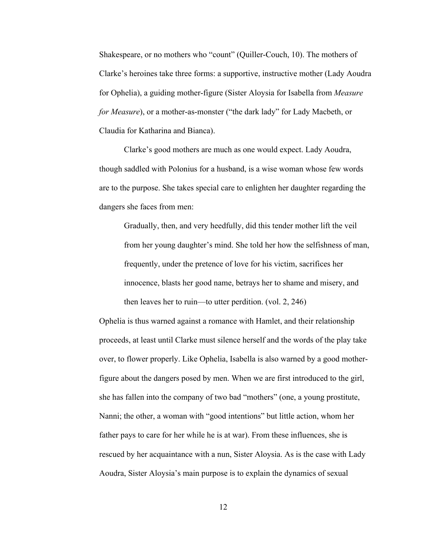Shakespeare, or no mothers who "count" (Quiller-Couch, 10). The mothers of Clarke's heroines take three forms: a supportive, instructive mother (Lady Aoudra for Ophelia), a guiding mother-figure (Sister Aloysia for Isabella from *Measure for Measure*), or a mother-as-monster ("the dark lady" for Lady Macbeth, or Claudia for Katharina and Bianca).

Clarke's good mothers are much as one would expect. Lady Aoudra, though saddled with Polonius for a husband, is a wise woman whose few words are to the purpose. She takes special care to enlighten her daughter regarding the dangers she faces from men:

Gradually, then, and very heedfully, did this tender mother lift the veil from her young daughter's mind. She told her how the selfishness of man, frequently, under the pretence of love for his victim, sacrifices her innocence, blasts her good name, betrays her to shame and misery, and then leaves her to ruin—to utter perdition. (vol. 2, 246)

Ophelia is thus warned against a romance with Hamlet, and their relationship proceeds, at least until Clarke must silence herself and the words of the play take over, to flower properly. Like Ophelia, Isabella is also warned by a good motherfigure about the dangers posed by men. When we are first introduced to the girl, she has fallen into the company of two bad "mothers" (one, a young prostitute, Nanni; the other, a woman with "good intentions" but little action, whom her father pays to care for her while he is at war). From these influences, she is rescued by her acquaintance with a nun, Sister Aloysia. As is the case with Lady Aoudra, Sister Aloysia's main purpose is to explain the dynamics of sexual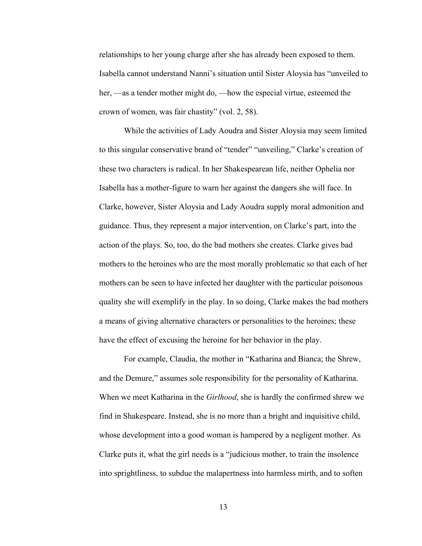relationships to her young charge after she has already been exposed to them. Isabella cannot understand Nanni's situation until Sister Aloysia has "unveiled to her, —as a tender mother might do, —how the especial virtue, esteemed the crown of women, was fair chastity" (vol. 2, 58).

While the activities of Lady Aoudra and Sister Aloysia may seem limited to this singular conservative brand of "tender" "unveiling," Clarke's creation of these two characters is radical. In her Shakespearean life, neither Ophelia nor Isabella has a mother-figure to warn her against the dangers she will face. In Clarke, however, Sister Aloysia and Lady Aoudra supply moral admonition and guidance. Thus, they represent a major intervention, on Clarke's part, into the action of the plays. So, too, do the bad mothers she creates. Clarke gives bad mothers to the heroines who are the most morally problematic so that each of her mothers can be seen to have infected her daughter with the particular poisonous quality she will exemplify in the play. In so doing, Clarke makes the bad mothers a means of giving alternative characters or personalities to the heroines; these have the effect of excusing the heroine for her behavior in the play.

For example, Claudia, the mother in "Katharina and Bianca; the Shrew, and the Demure," assumes sole responsibility for the personality of Katharina. When we meet Katharina in the *Girlhood*, she is hardly the confirmed shrew we find in Shakespeare. Instead, she is no more than a bright and inquisitive child, whose development into a good woman is hampered by a negligent mother. As Clarke puts it, what the girl needs is a "judicious mother, to train the insolence into sprightliness, to subdue the malapertness into harmless mirth, and to soften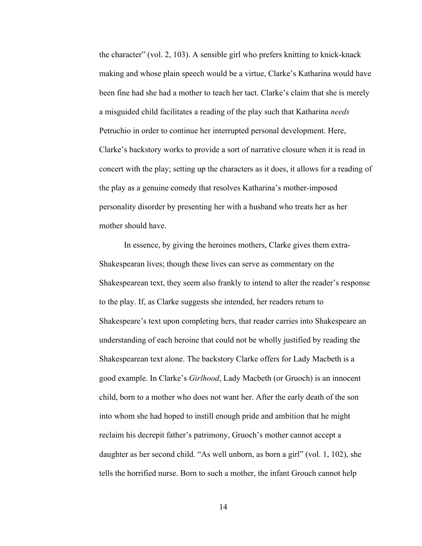the character" (vol. 2, 103). A sensible girl who prefers knitting to knick-knack making and whose plain speech would be a virtue, Clarke's Katharina would have been fine had she had a mother to teach her tact. Clarke's claim that she is merely a misguided child facilitates a reading of the play such that Katharina *needs* Petruchio in order to continue her interrupted personal development. Here, Clarke's backstory works to provide a sort of narrative closure when it is read in concert with the play; setting up the characters as it does, it allows for a reading of the play as a genuine comedy that resolves Katharina's mother-imposed personality disorder by presenting her with a husband who treats her as her mother should have.

In essence, by giving the heroines mothers, Clarke gives them extra-Shakespearan lives; though these lives can serve as commentary on the Shakespearean text, they seem also frankly to intend to alter the reader's response to the play. If, as Clarke suggests she intended, her readers return to Shakespeare's text upon completing hers, that reader carries into Shakespeare an understanding of each heroine that could not be wholly justified by reading the Shakespearean text alone. The backstory Clarke offers for Lady Macbeth is a good example. In Clarke's *Girlhood*, Lady Macbeth (or Gruoch) is an innocent child, born to a mother who does not want her. After the early death of the son into whom she had hoped to instill enough pride and ambition that he might reclaim his decrepit father's patrimony, Gruoch's mother cannot accept a daughter as her second child. "As well unborn, as born a girl" (vol. 1, 102), she tells the horrified nurse. Born to such a mother, the infant Grouch cannot help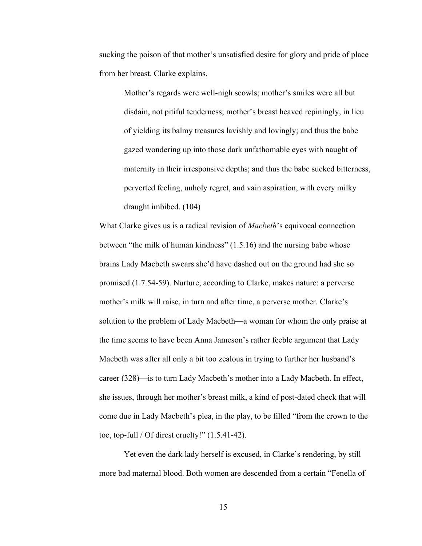sucking the poison of that mother's unsatisfied desire for glory and pride of place from her breast. Clarke explains,

Mother's regards were well-nigh scowls; mother's smiles were all but disdain, not pitiful tenderness; mother's breast heaved repiningly, in lieu of yielding its balmy treasures lavishly and lovingly; and thus the babe gazed wondering up into those dark unfathomable eyes with naught of maternity in their irresponsive depths; and thus the babe sucked bitterness, perverted feeling, unholy regret, and vain aspiration, with every milky draught imbibed. (104)

What Clarke gives us is a radical revision of *Macbeth*'s equivocal connection between "the milk of human kindness" (1.5.16) and the nursing babe whose brains Lady Macbeth swears she'd have dashed out on the ground had she so promised (1.7.54-59). Nurture, according to Clarke, makes nature: a perverse mother's milk will raise, in turn and after time, a perverse mother. Clarke's solution to the problem of Lady Macbeth—a woman for whom the only praise at the time seems to have been Anna Jameson's rather feeble argument that Lady Macbeth was after all only a bit too zealous in trying to further her husband's career (328)—is to turn Lady Macbeth's mother into a Lady Macbeth. In effect, she issues, through her mother's breast milk, a kind of post-dated check that will come due in Lady Macbeth's plea, in the play, to be filled "from the crown to the toe, top-full / Of direst cruelty!" (1.5.41-42).

Yet even the dark lady herself is excused, in Clarke's rendering, by still more bad maternal blood. Both women are descended from a certain "Fenella of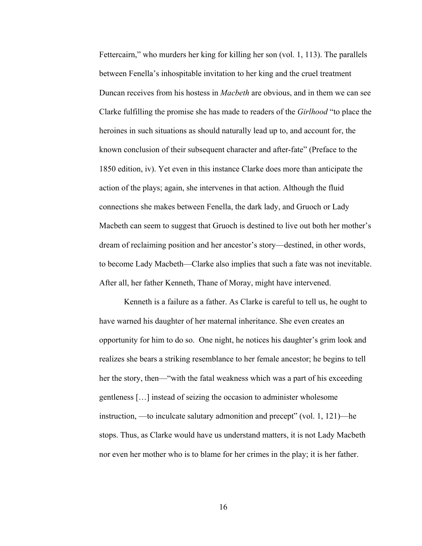Fettercairn," who murders her king for killing her son (vol. 1, 113). The parallels between Fenella's inhospitable invitation to her king and the cruel treatment Duncan receives from his hostess in *Macbeth* are obvious, and in them we can see Clarke fulfilling the promise she has made to readers of the *Girlhood* "to place the heroines in such situations as should naturally lead up to, and account for, the known conclusion of their subsequent character and after-fate" (Preface to the 1850 edition, iv). Yet even in this instance Clarke does more than anticipate the action of the plays; again, she intervenes in that action. Although the fluid connections she makes between Fenella, the dark lady, and Gruoch or Lady Macbeth can seem to suggest that Gruoch is destined to live out both her mother's dream of reclaiming position and her ancestor's story—destined, in other words, to become Lady Macbeth—Clarke also implies that such a fate was not inevitable. After all, her father Kenneth, Thane of Moray, might have intervened.

Kenneth is a failure as a father. As Clarke is careful to tell us, he ought to have warned his daughter of her maternal inheritance. She even creates an opportunity for him to do so. One night, he notices his daughter's grim look and realizes she bears a striking resemblance to her female ancestor; he begins to tell her the story, then—"with the fatal weakness which was a part of his exceeding gentleness […] instead of seizing the occasion to administer wholesome instruction, —to inculcate salutary admonition and precept" (vol. 1, 121)—he stops. Thus, as Clarke would have us understand matters, it is not Lady Macbeth nor even her mother who is to blame for her crimes in the play; it is her father.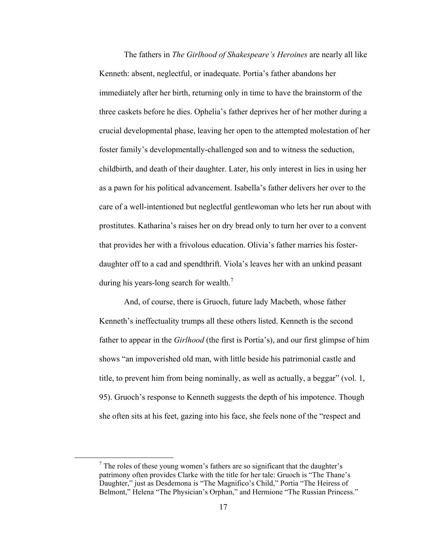The fathers in *The Girlhood of Shakespeare's Heroines* are nearly all like Kenneth: absent, neglectful, or inadequate. Portia's father abandons her immediately after her birth, returning only in time to have the brainstorm of the three caskets before he dies. Ophelia's father deprives her of her mother during a crucial developmental phase, leaving her open to the attempted molestation of her foster family's developmentally-challenged son and to witness the seduction, childbirth, and death of their daughter. Later, his only interest in lies in using her as a pawn for his political advancement. Isabella's father delivers her over to the care of a well-intentioned but neglectful gentlewoman who lets her run about with prostitutes. Katharina's raises her on dry bread only to turn her over to a convent that provides her with a frivolous education. Olivia's father marries his fosterdaughter off to a cad and spendthrift. Viola's leaves her with an unkind peasant during his years-long search for wealth.<sup>7</sup>

And, of course, there is Gruoch, future lady Macbeth, whose father Kenneth's ineffectuality trumps all these others listed. Kenneth is the second father to appear in the *Girlhood* (the first is Portia's), and our first glimpse of him shows "an impoverished old man, with little beside his patrimonial castle and title, to prevent him from being nominally, as well as actually, a beggar" (vol. 1, 95). Gruoch's response to Kenneth suggests the depth of his impotence. Though she often sits at his feet, gazing into his face, she feels none of the "respect and

 <sup>7</sup>  $\frac{7}{1}$ . The roles of these young women's fathers are so significant that the daughter's patrimony often provides Clarke with the title for her tale: Gruoch is "The Thane's Daughter," just as Desdemona is "The Magnifico's Child," Portia "The Heiress of Belmont," Helena "The Physician's Orphan," and Hermione "The Russian Princess."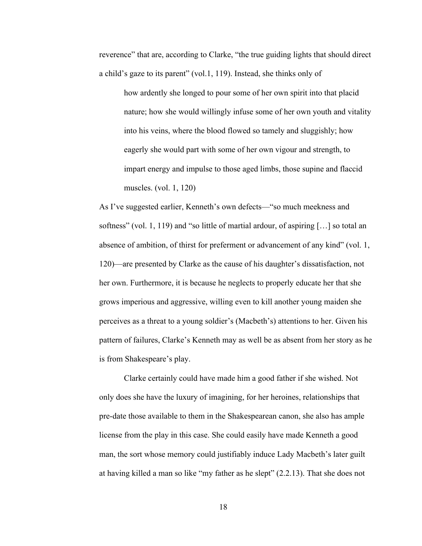reverence" that are, according to Clarke, "the true guiding lights that should direct a child's gaze to its parent" (vol.1, 119). Instead, she thinks only of

how ardently she longed to pour some of her own spirit into that placid nature; how she would willingly infuse some of her own youth and vitality into his veins, where the blood flowed so tamely and sluggishly; how eagerly she would part with some of her own vigour and strength, to impart energy and impulse to those aged limbs, those supine and flaccid muscles. (vol. 1, 120)

As I've suggested earlier, Kenneth's own defects—"so much meekness and softness" (vol. 1, 119) and "so little of martial ardour, of aspiring […] so total an absence of ambition, of thirst for preferment or advancement of any kind" (vol. 1, 120)—are presented by Clarke as the cause of his daughter's dissatisfaction, not her own. Furthermore, it is because he neglects to properly educate her that she grows imperious and aggressive, willing even to kill another young maiden she perceives as a threat to a young soldier's (Macbeth's) attentions to her. Given his pattern of failures, Clarke's Kenneth may as well be as absent from her story as he is from Shakespeare's play.

Clarke certainly could have made him a good father if she wished. Not only does she have the luxury of imagining, for her heroines, relationships that pre-date those available to them in the Shakespearean canon, she also has ample license from the play in this case. She could easily have made Kenneth a good man, the sort whose memory could justifiably induce Lady Macbeth's later guilt at having killed a man so like "my father as he slept" (2.2.13). That she does not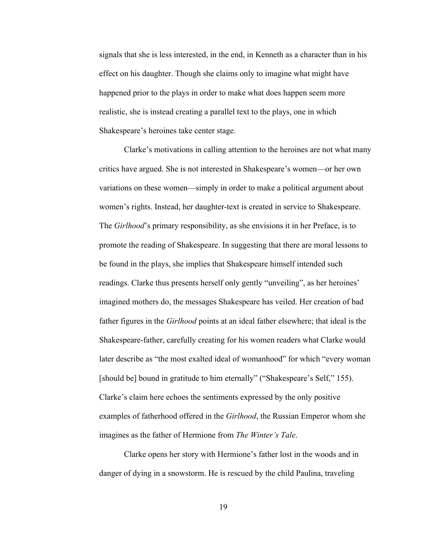signals that she is less interested, in the end, in Kenneth as a character than in his effect on his daughter. Though she claims only to imagine what might have happened prior to the plays in order to make what does happen seem more realistic, she is instead creating a parallel text to the plays, one in which Shakespeare's heroines take center stage.

Clarke's motivations in calling attention to the heroines are not what many critics have argued. She is not interested in Shakespeare's women—or her own variations on these women—simply in order to make a political argument about women's rights. Instead, her daughter-text is created in service to Shakespeare. The *Girlhood*'s primary responsibility, as she envisions it in her Preface, is to promote the reading of Shakespeare. In suggesting that there are moral lessons to be found in the plays, she implies that Shakespeare himself intended such readings. Clarke thus presents herself only gently "unveiling", as her heroines' imagined mothers do, the messages Shakespeare has veiled. Her creation of bad father figures in the *Girlhood* points at an ideal father elsewhere; that ideal is the Shakespeare-father, carefully creating for his women readers what Clarke would later describe as "the most exalted ideal of womanhood" for which "every woman [should be] bound in gratitude to him eternally" ("Shakespeare's Self," 155). Clarke's claim here echoes the sentiments expressed by the only positive examples of fatherhood offered in the *Girlhood*, the Russian Emperor whom she imagines as the father of Hermione from *The Winter's Tale*.

Clarke opens her story with Hermione's father lost in the woods and in danger of dying in a snowstorm. He is rescued by the child Paulina, traveling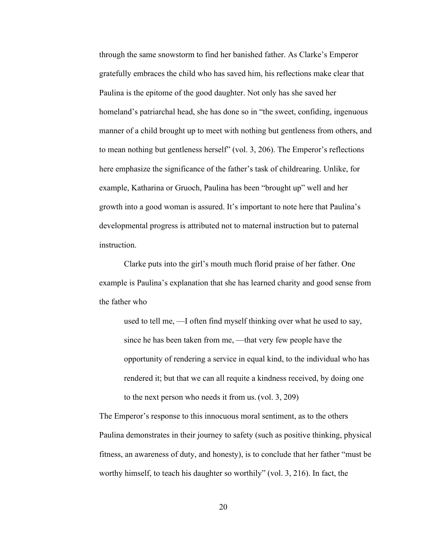through the same snowstorm to find her banished father. As Clarke's Emperor gratefully embraces the child who has saved him, his reflections make clear that Paulina is the epitome of the good daughter. Not only has she saved her homeland's patriarchal head, she has done so in "the sweet, confiding, ingenuous manner of a child brought up to meet with nothing but gentleness from others, and to mean nothing but gentleness herself" (vol. 3, 206). The Emperor's reflections here emphasize the significance of the father's task of childrearing. Unlike, for example, Katharina or Gruoch, Paulina has been "brought up" well and her growth into a good woman is assured. It's important to note here that Paulina's developmental progress is attributed not to maternal instruction but to paternal instruction.

Clarke puts into the girl's mouth much florid praise of her father. One example is Paulina's explanation that she has learned charity and good sense from the father who

used to tell me, —I often find myself thinking over what he used to say, since he has been taken from me, —that very few people have the opportunity of rendering a service in equal kind, to the individual who has rendered it; but that we can all requite a kindness received, by doing one to the next person who needs it from us. (vol. 3, 209)

The Emperor's response to this innocuous moral sentiment, as to the others Paulina demonstrates in their journey to safety (such as positive thinking, physical fitness, an awareness of duty, and honesty), is to conclude that her father "must be worthy himself, to teach his daughter so worthily" (vol. 3, 216). In fact, the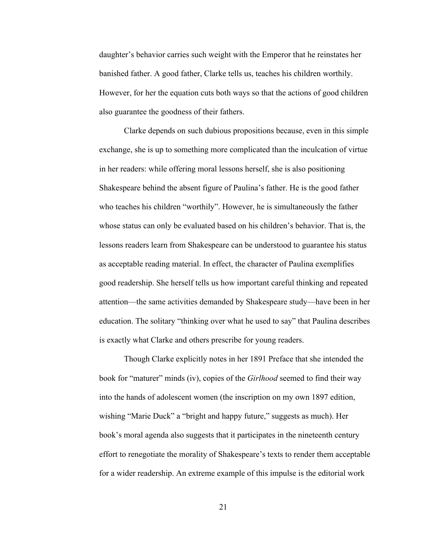daughter's behavior carries such weight with the Emperor that he reinstates her banished father. A good father, Clarke tells us, teaches his children worthily. However, for her the equation cuts both ways so that the actions of good children also guarantee the goodness of their fathers.

Clarke depends on such dubious propositions because, even in this simple exchange, she is up to something more complicated than the inculcation of virtue in her readers: while offering moral lessons herself, she is also positioning Shakespeare behind the absent figure of Paulina's father. He is the good father who teaches his children "worthily". However, he is simultaneously the father whose status can only be evaluated based on his children's behavior. That is, the lessons readers learn from Shakespeare can be understood to guarantee his status as acceptable reading material. In effect, the character of Paulina exemplifies good readership. She herself tells us how important careful thinking and repeated attention—the same activities demanded by Shakespeare study—have been in her education. The solitary "thinking over what he used to say" that Paulina describes is exactly what Clarke and others prescribe for young readers.

Though Clarke explicitly notes in her 1891 Preface that she intended the book for "maturer" minds (iv), copies of the *Girlhood* seemed to find their way into the hands of adolescent women (the inscription on my own 1897 edition, wishing "Marie Duck" a "bright and happy future," suggests as much). Her book's moral agenda also suggests that it participates in the nineteenth century effort to renegotiate the morality of Shakespeare's texts to render them acceptable for a wider readership. An extreme example of this impulse is the editorial work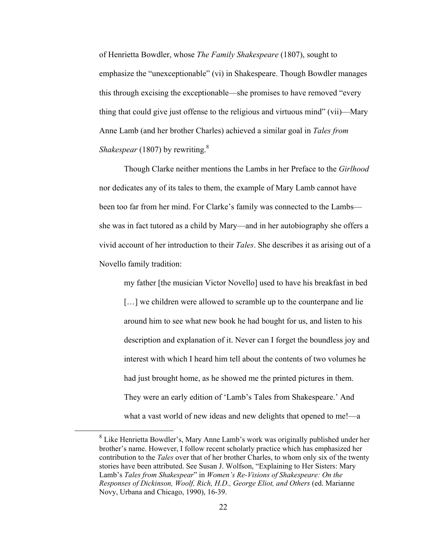of Henrietta Bowdler, whose *The Family Shakespeare* (1807), sought to emphasize the "unexceptionable" (vi) in Shakespeare. Though Bowdler manages this through excising the exceptionable—she promises to have removed "every thing that could give just offense to the religious and virtuous mind" (vii)—Mary Anne Lamb (and her brother Charles) achieved a similar goal in *Tales from Shakespear* (1807) by rewriting.<sup>8</sup>

Though Clarke neither mentions the Lambs in her Preface to the *Girlhood* nor dedicates any of its tales to them, the example of Mary Lamb cannot have been too far from her mind. For Clarke's family was connected to the Lambs she was in fact tutored as a child by Mary—and in her autobiography she offers a vivid account of her introduction to their *Tales*. She describes it as arising out of a Novello family tradition:

my father [the musician Victor Novello] used to have his breakfast in bed

[...] we children were allowed to scramble up to the counterpane and lie around him to see what new book he had bought for us, and listen to his description and explanation of it. Never can I forget the boundless joy and interest with which I heard him tell about the contents of two volumes he had just brought home, as he showed me the printed pictures in them. They were an early edition of 'Lamb's Tales from Shakespeare.' And what a vast world of new ideas and new delights that opened to me!—a

<sup>&</sup>lt;sup>8</sup> Like Henrietta Bowdler's, Mary Anne Lamb's work was originally published under her brother's name. However, I follow recent scholarly practice which has emphasized her contribution to the *Tales* over that of her brother Charles, to whom only six of the twenty stories have been attributed. See Susan J. Wolfson, "Explaining to Her Sisters: Mary Lamb's *Tales from Shakespear*" in *Women's Re-Visions of Shakespeare: On the Responses of Dickinson, Woolf, Rich, H.D., George Eliot, and Others* (ed. Marianne Novy, Urbana and Chicago, 1990), 16-39.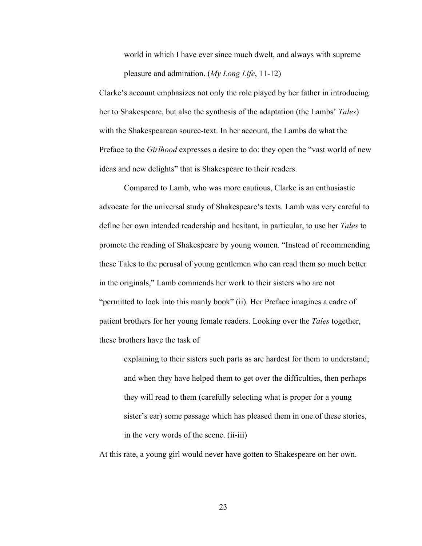world in which I have ever since much dwelt, and always with supreme pleasure and admiration. (*My Long Life*, 11-12)

Clarke's account emphasizes not only the role played by her father in introducing her to Shakespeare, but also the synthesis of the adaptation (the Lambs' *Tales*) with the Shakespearean source-text. In her account, the Lambs do what the Preface to the *Girlhood* expresses a desire to do: they open the "vast world of new ideas and new delights" that is Shakespeare to their readers.

Compared to Lamb, who was more cautious, Clarke is an enthusiastic advocate for the universal study of Shakespeare's texts. Lamb was very careful to define her own intended readership and hesitant, in particular, to use her *Tales* to promote the reading of Shakespeare by young women. "Instead of recommending these Tales to the perusal of young gentlemen who can read them so much better in the originals," Lamb commends her work to their sisters who are not "permitted to look into this manly book" (ii). Her Preface imagines a cadre of patient brothers for her young female readers. Looking over the *Tales* together, these brothers have the task of

explaining to their sisters such parts as are hardest for them to understand; and when they have helped them to get over the difficulties, then perhaps they will read to them (carefully selecting what is proper for a young sister's ear) some passage which has pleased them in one of these stories, in the very words of the scene. (ii-iii)

At this rate, a young girl would never have gotten to Shakespeare on her own.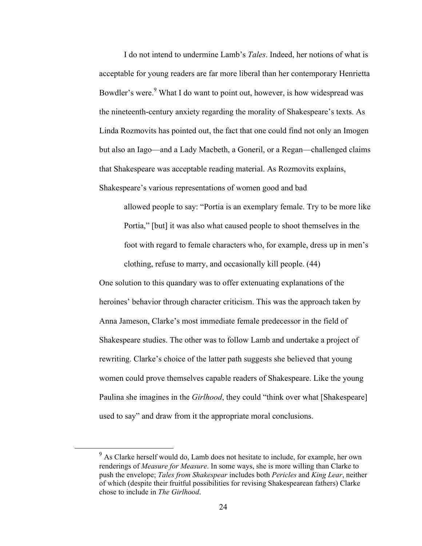I do not intend to undermine Lamb's *Tales*. Indeed, her notions of what is acceptable for young readers are far more liberal than her contemporary Henrietta Bowdler's were.<sup>9</sup> What I do want to point out, however, is how widespread was the nineteenth-century anxiety regarding the morality of Shakespeare's texts. As Linda Rozmovits has pointed out, the fact that one could find not only an Imogen but also an Iago—and a Lady Macbeth, a Goneril, or a Regan—challenged claims that Shakespeare was acceptable reading material. As Rozmovits explains, Shakespeare's various representations of women good and bad

allowed people to say: "Portia is an exemplary female. Try to be more like Portia," [but] it was also what caused people to shoot themselves in the foot with regard to female characters who, for example, dress up in men's clothing, refuse to marry, and occasionally kill people. (44)

One solution to this quandary was to offer extenuating explanations of the heroines' behavior through character criticism. This was the approach taken by Anna Jameson, Clarke's most immediate female predecessor in the field of Shakespeare studies. The other was to follow Lamb and undertake a project of rewriting. Clarke's choice of the latter path suggests she believed that young women could prove themselves capable readers of Shakespeare. Like the young Paulina she imagines in the *Girlhood*, they could "think over what [Shakespeare] used to say" and draw from it the appropriate moral conclusions.

<sup>&</sup>lt;sup>9</sup> As Clarke herself would do, Lamb does not hesitate to include, for example, her own renderings of *Measure for Measure*. In some ways, she is more willing than Clarke to push the envelope; *Tales from Shakespear* includes both *Pericles* and *King Lear*, neither of which (despite their fruitful possibilities for revising Shakespearean fathers) Clarke chose to include in *The Girlhood*.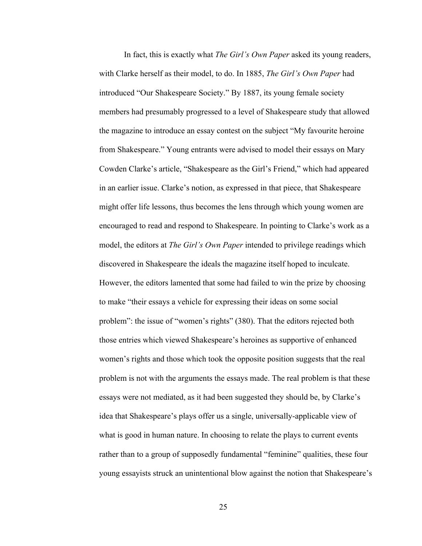In fact, this is exactly what *The Girl's Own Paper* asked its young readers, with Clarke herself as their model, to do. In 1885, *The Girl's Own Paper* had introduced "Our Shakespeare Society." By 1887, its young female society members had presumably progressed to a level of Shakespeare study that allowed the magazine to introduce an essay contest on the subject "My favourite heroine from Shakespeare." Young entrants were advised to model their essays on Mary Cowden Clarke's article, "Shakespeare as the Girl's Friend," which had appeared in an earlier issue. Clarke's notion, as expressed in that piece, that Shakespeare might offer life lessons, thus becomes the lens through which young women are encouraged to read and respond to Shakespeare. In pointing to Clarke's work as a model, the editors at *The Girl's Own Paper* intended to privilege readings which discovered in Shakespeare the ideals the magazine itself hoped to inculcate. However, the editors lamented that some had failed to win the prize by choosing to make "their essays a vehicle for expressing their ideas on some social problem": the issue of "women's rights" (380). That the editors rejected both those entries which viewed Shakespeare's heroines as supportive of enhanced women's rights and those which took the opposite position suggests that the real problem is not with the arguments the essays made. The real problem is that these essays were not mediated, as it had been suggested they should be, by Clarke's idea that Shakespeare's plays offer us a single, universally-applicable view of what is good in human nature. In choosing to relate the plays to current events rather than to a group of supposedly fundamental "feminine" qualities, these four young essayists struck an unintentional blow against the notion that Shakespeare's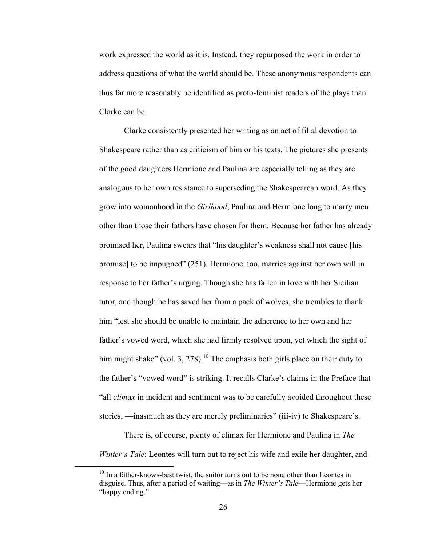work expressed the world as it is. Instead, they repurposed the work in order to address questions of what the world should be. These anonymous respondents can thus far more reasonably be identified as proto-feminist readers of the plays than Clarke can be.

Clarke consistently presented her writing as an act of filial devotion to Shakespeare rather than as criticism of him or his texts. The pictures she presents of the good daughters Hermione and Paulina are especially telling as they are analogous to her own resistance to superseding the Shakespearean word. As they grow into womanhood in the *Girlhood*, Paulina and Hermione long to marry men other than those their fathers have chosen for them. Because her father has already promised her, Paulina swears that "his daughter's weakness shall not cause [his promise] to be impugned" (251). Hermione, too, marries against her own will in response to her father's urging. Though she has fallen in love with her Sicilian tutor, and though he has saved her from a pack of wolves, she trembles to thank him "lest she should be unable to maintain the adherence to her own and her father's vowed word, which she had firmly resolved upon, yet which the sight of him might shake" (vol. 3, 278).<sup>10</sup> The emphasis both girls place on their duty to the father's "vowed word" is striking. It recalls Clarke's claims in the Preface that "all *climax* in incident and sentiment was to be carefully avoided throughout these stories, —inasmuch as they are merely preliminaries" (iii-iv) to Shakespeare's.

There is, of course, plenty of climax for Hermione and Paulina in *The Winter's Tale*: Leontes will turn out to reject his wife and exile her daughter, and

<sup>&</sup>lt;sup>10</sup> In a father-knows-best twist, the suitor turns out to be none other than Leontes in disguise. Thus, after a period of waiting—as in *The Winter's Tale*—Hermione gets her "happy ending."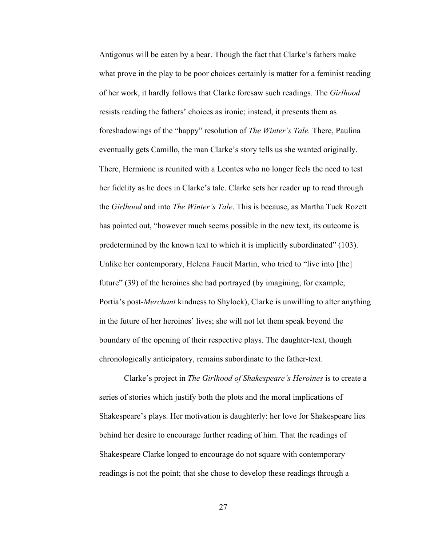Antigonus will be eaten by a bear. Though the fact that Clarke's fathers make what prove in the play to be poor choices certainly is matter for a feminist reading of her work, it hardly follows that Clarke foresaw such readings. The *Girlhood*  resists reading the fathers' choices as ironic; instead, it presents them as foreshadowings of the "happy" resolution of *The Winter's Tale.* There, Paulina eventually gets Camillo, the man Clarke's story tells us she wanted originally. There, Hermione is reunited with a Leontes who no longer feels the need to test her fidelity as he does in Clarke's tale. Clarke sets her reader up to read through the *Girlhood* and into *The Winter's Tale*. This is because, as Martha Tuck Rozett has pointed out, "however much seems possible in the new text, its outcome is predetermined by the known text to which it is implicitly subordinated" (103). Unlike her contemporary, Helena Faucit Martin, who tried to "live into [the] future" (39) of the heroines she had portrayed (by imagining, for example, Portia's post-*Merchant* kindness to Shylock), Clarke is unwilling to alter anything in the future of her heroines' lives; she will not let them speak beyond the boundary of the opening of their respective plays. The daughter-text, though chronologically anticipatory, remains subordinate to the father-text.

Clarke's project in *The Girlhood of Shakespeare's Heroines* is to create a series of stories which justify both the plots and the moral implications of Shakespeare's plays. Her motivation is daughterly: her love for Shakespeare lies behind her desire to encourage further reading of him. That the readings of Shakespeare Clarke longed to encourage do not square with contemporary readings is not the point; that she chose to develop these readings through a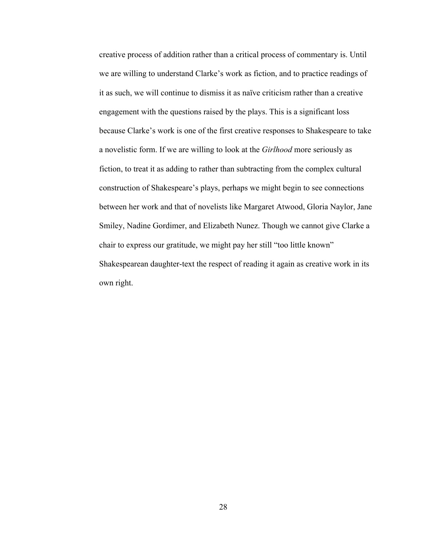creative process of addition rather than a critical process of commentary is. Until we are willing to understand Clarke's work as fiction, and to practice readings of it as such, we will continue to dismiss it as naïve criticism rather than a creative engagement with the questions raised by the plays. This is a significant loss because Clarke's work is one of the first creative responses to Shakespeare to take a novelistic form. If we are willing to look at the *Girlhood* more seriously as fiction, to treat it as adding to rather than subtracting from the complex cultural construction of Shakespeare's plays, perhaps we might begin to see connections between her work and that of novelists like Margaret Atwood, Gloria Naylor, Jane Smiley, Nadine Gordimer, and Elizabeth Nunez. Though we cannot give Clarke a chair to express our gratitude, we might pay her still "too little known" Shakespearean daughter-text the respect of reading it again as creative work in its own right.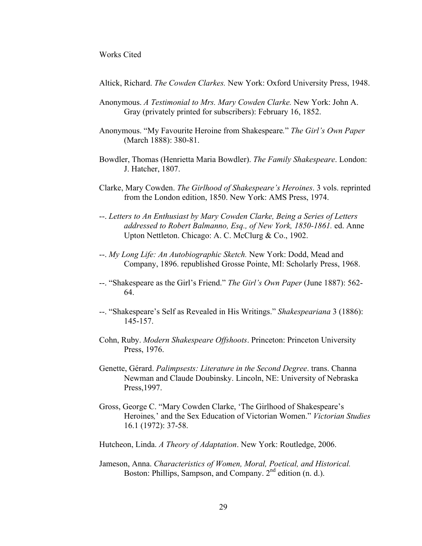#### Works Cited

Altick, Richard. *The Cowden Clarkes.* New York: Oxford University Press, 1948.

- Anonymous. *A Testimonial to Mrs. Mary Cowden Clarke.* New York: John A. Gray (privately printed for subscribers): February 16, 1852.
- Anonymous. "My Favourite Heroine from Shakespeare*.*" *The Girl's Own Paper* (March 1888): 380-81.
- Bowdler, Thomas (Henrietta Maria Bowdler). *The Family Shakespeare*. London: J. Hatcher, 1807.
- Clarke, Mary Cowden. *The Girlhood of Shakespeare's Heroines*. 3 vols. reprinted from the London edition, 1850. New York: AMS Press, 1974.
- --. *Letters to An Enthusiast by Mary Cowden Clarke, Being a Series of Letters addressed to Robert Balmanno, Esq., of New York, 1850-1861.* ed. Anne Upton Nettleton. Chicago: A. C. McClurg & Co., 1902.
- --. *My Long Life: An Autobiographic Sketch.* New York: Dodd, Mead and Company, 1896. republished Grosse Pointe, MI: Scholarly Press, 1968.
- --. "Shakespeare as the Girl's Friend." *The Girl's Own Paper* (June 1887): 562- 64.
- --. "Shakespeare's Self as Revealed in His Writings." *Shakespeariana* 3 (1886): 145-157.
- Cohn, Ruby. *Modern Shakespeare Offshoots*. Princeton: Princeton University Press, 1976.
- Genette, Gérard. *Palimpsests: Literature in the Second Degree*. trans. Channa Newman and Claude Doubinsky. Lincoln, NE: University of Nebraska Press,1997.
- Gross, George C. "Mary Cowden Clarke, 'The Girlhood of Shakespeare's Heroines*,*' and the Sex Education of Victorian Women." *Victorian Studies*  16.1 (1972): 37-58.
- Hutcheon, Linda. *A Theory of Adaptation*. New York: Routledge, 2006.
- Jameson, Anna. *Characteristics of Women, Moral, Poetical, and Historical.* Boston: Phillips, Sampson, and Company.  $2<sup>nd</sup>$  edition (n. d.).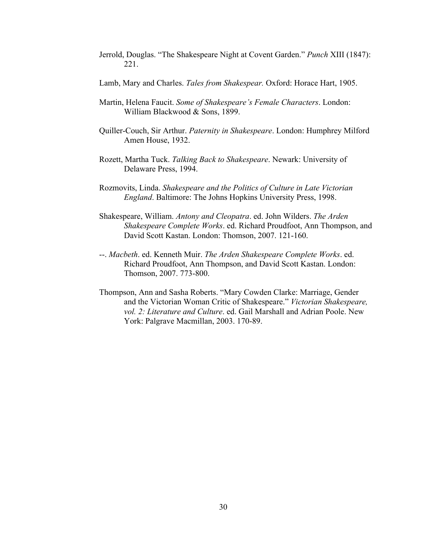- Jerrold, Douglas. "The Shakespeare Night at Covent Garden." *Punch* XIII (1847): 221.
- Lamb, Mary and Charles. *Tales from Shakespear.* Oxford: Horace Hart, 1905.
- Martin, Helena Faucit. *Some of Shakespeare's Female Characters*. London: William Blackwood & Sons, 1899.
- Quiller-Couch, Sir Arthur. *Paternity in Shakespeare*. London: Humphrey Milford Amen House, 1932.
- Rozett, Martha Tuck. *Talking Back to Shakespeare*. Newark: University of Delaware Press, 1994.
- Rozmovits, Linda. *Shakespeare and the Politics of Culture in Late Victorian England*. Baltimore: The Johns Hopkins University Press, 1998.
- Shakespeare, William. *Antony and Cleopatra*. ed. John Wilders. *The Arden Shakespeare Complete Works*. ed. Richard Proudfoot, Ann Thompson, and David Scott Kastan. London: Thomson, 2007. 121-160.
- --. *Macbeth*. ed. Kenneth Muir. *The Arden Shakespeare Complete Works*. ed. Richard Proudfoot, Ann Thompson, and David Scott Kastan. London: Thomson, 2007. 773-800.
- Thompson, Ann and Sasha Roberts. "Mary Cowden Clarke: Marriage, Gender and the Victorian Woman Critic of Shakespeare." *Victorian Shakespeare, vol. 2: Literature and Culture*. ed. Gail Marshall and Adrian Poole. New York: Palgrave Macmillan, 2003. 170-89.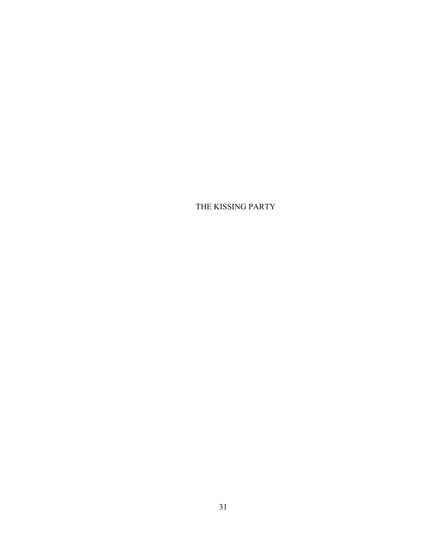THE KISSING PARTY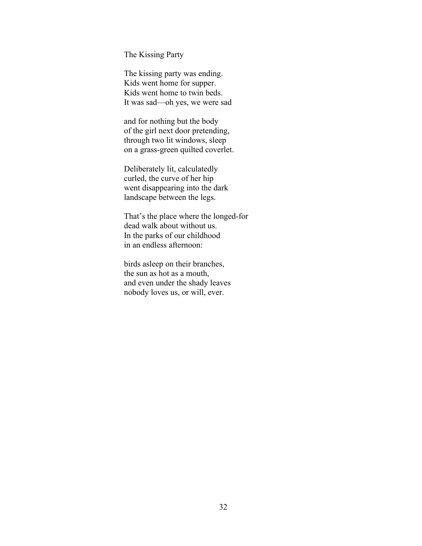The Kissing Party

The kissing party was ending. Kids went home for supper. Kids went home to twin beds. It was sad—oh yes, we were sad

and for nothing but the body of the girl next door pretending, through two lit windows, sleep on a grass-green quilted coverlet.

Deliberately lit, calculatedly curled, the curve of her hip went disappearing into the dark landscape between the legs.

That's the place where the longed-for dead walk about without us. In the parks of our childhood in an endless afternoon:

birds asleep on their branches, the sun as hot as a mouth, and even under the shady leaves nobody loves us, or will, ever.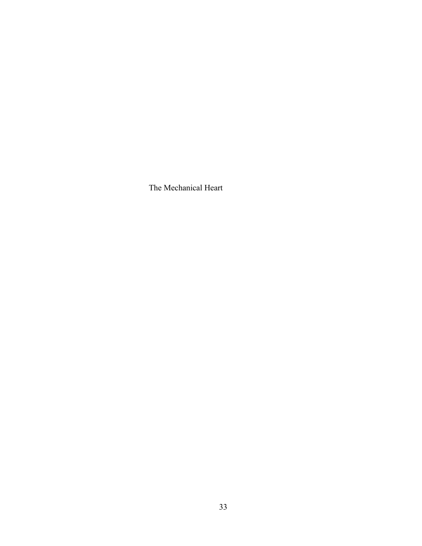The Mechanical Heart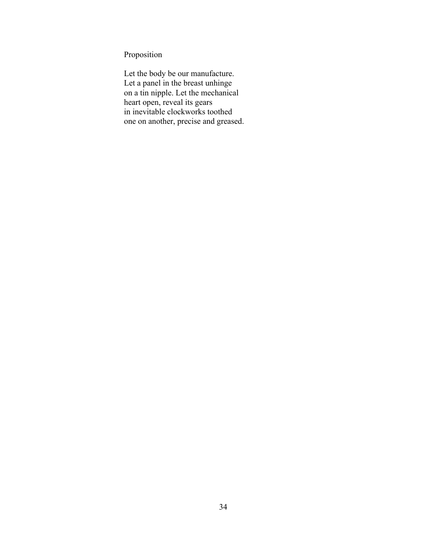Proposition

Let the body be our manufacture. Let a panel in the breast unhinge on a tin nipple. Let the mechanical heart open, reveal its gears in inevitable clockworks toothed one on another, precise and greased.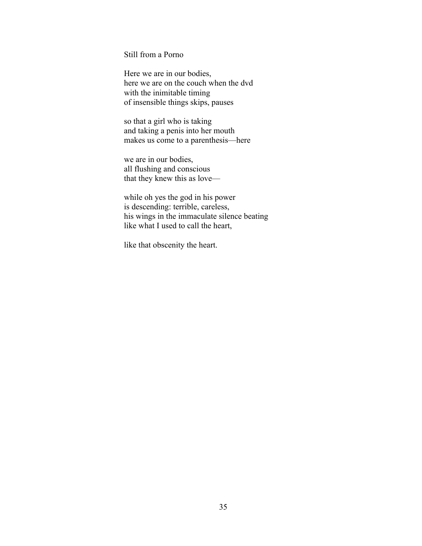Still from a Porno

Here we are in our bodies, here we are on the couch when the dvd with the inimitable timing of insensible things skips, pauses

so that a girl who is taking and taking a penis into her mouth makes us come to a parenthesis—here

we are in our bodies, all flushing and conscious that they knew this as love—

while oh yes the god in his power is descending: terrible, careless, his wings in the immaculate silence beating like what I used to call the heart,

like that obscenity the heart.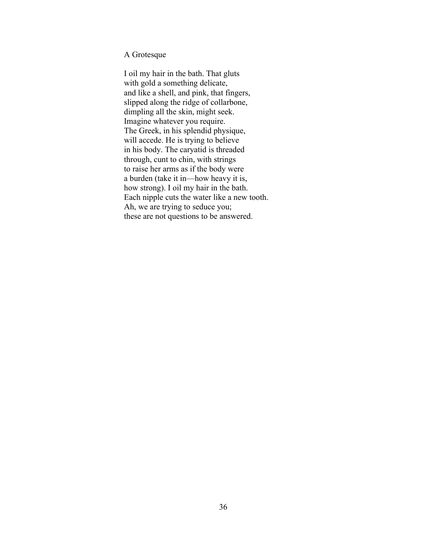A Grotesque

I oil my hair in the bath. That gluts with gold a something delicate, and like a shell, and pink, that fingers, slipped along the ridge of collarbone, dimpling all the skin, might seek. Imagine whatever you require. The Greek, in his splendid physique, will accede. He is trying to believe in his body. The caryatid is threaded through, cunt to chin, with strings to raise her arms as if the body were a burden (take it in—how heavy it is, how strong). I oil my hair in the bath. Each nipple cuts the water like a new tooth. Ah, we are trying to seduce you; these are not questions to be answered.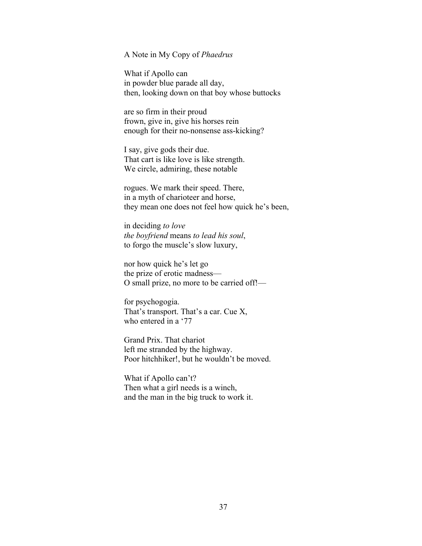## A Note in My Copy of *Phaedrus*

What if Apollo can in powder blue parade all day, then, looking down on that boy whose buttocks

are so firm in their proud frown, give in, give his horses rein enough for their no-nonsense ass-kicking?

I say, give gods their due. That cart is like love is like strength. We circle, admiring, these notable

rogues. We mark their speed. There, in a myth of charioteer and horse, they mean one does not feel how quick he's been,

in deciding *to love the boyfriend* means *to lead his soul*, to forgo the muscle's slow luxury,

nor how quick he's let go the prize of erotic madness— O small prize, no more to be carried off!—

for psychogogia. That's transport. That's a car. Cue X, who entered in a '77

Grand Prix. That chariot left me stranded by the highway. Poor hitchhiker!, but he wouldn't be moved.

What if Apollo can't? Then what a girl needs is a winch, and the man in the big truck to work it.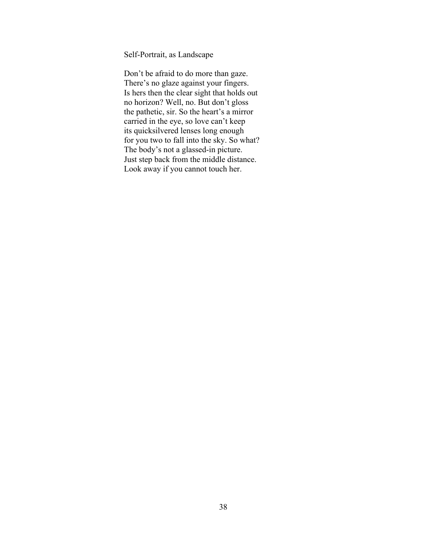Self-Portrait, as Landscape

Don't be afraid to do more than gaze. There's no glaze against your fingers. Is hers then the clear sight that holds out no horizon? Well, no. But don't gloss the pathetic, sir. So the heart's a mirror carried in the eye, so love can't keep its quicksilvered lenses long enough for you two to fall into the sky. So what? The body's not a glassed-in picture. Just step back from the middle distance. Look away if you cannot touch her.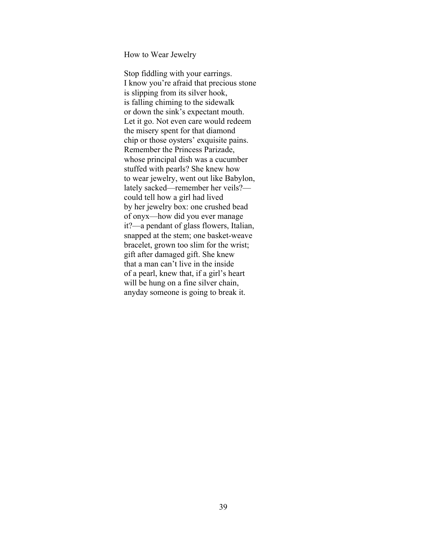How to Wear Jewelry

Stop fiddling with your earrings. I know you're afraid that precious stone is slipping from its silver hook, is falling chiming to the sidewalk or down the sink's expectant mouth. Let it go. Not even care would redeem the misery spent for that diamond chip or those oysters' exquisite pains. Remember the Princess Parizade, whose principal dish was a cucumber stuffed with pearls? She knew how to wear jewelry, went out like Babylon, lately sacked—remember her veils? could tell how a girl had lived by her jewelry box: one crushed bead of onyx—how did you ever manage it?—a pendant of glass flowers, Italian, snapped at the stem; one basket-weave bracelet, grown too slim for the wrist; gift after damaged gift. She knew that a man can't live in the inside of a pearl, knew that, if a girl's heart will be hung on a fine silver chain, anyday someone is going to break it.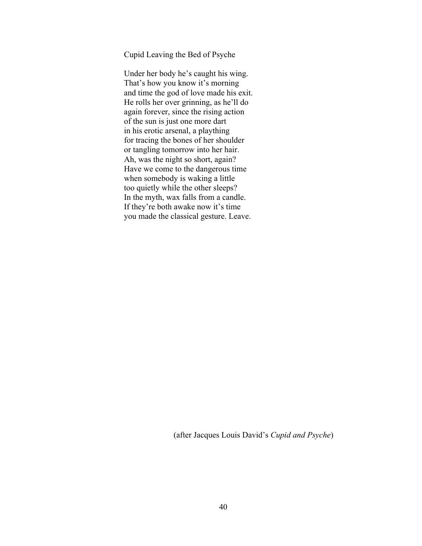Cupid Leaving the Bed of Psyche

Under her body he's caught his wing. That's how you know it's morning and time the god of love made his exit. He rolls her over grinning, as he'll do again forever, since the rising action of the sun is just one more dart in his erotic arsenal, a plaything for tracing the bones of her shoulder or tangling tomorrow into her hair. Ah, was the night so short, again? Have we come to the dangerous time when somebody is waking a little too quietly while the other sleeps? In the myth, wax falls from a candle. If they're both awake now it's time you made the classical gesture. Leave.

(after Jacques Louis David's *Cupid and Psyche*)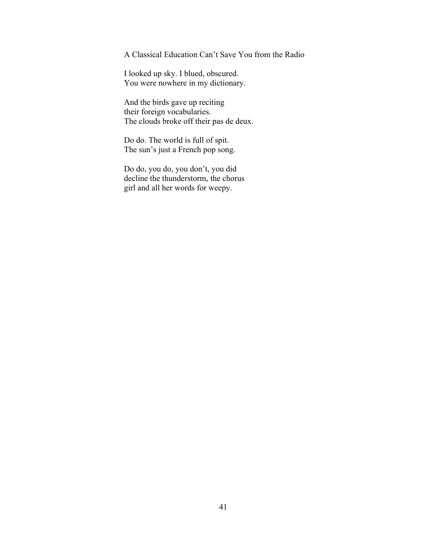A Classical Education Can't Save You from the Radio

I looked up sky. I blued, obscured. You were nowhere in my dictionary.

And the birds gave up reciting their foreign vocabularies. The clouds broke off their pas de deux.

Do do. The world is full of spit. The sun's just a French pop song.

Do do, you do, you don't, you did decline the thunderstorm, the chorus girl and all her words for weepy.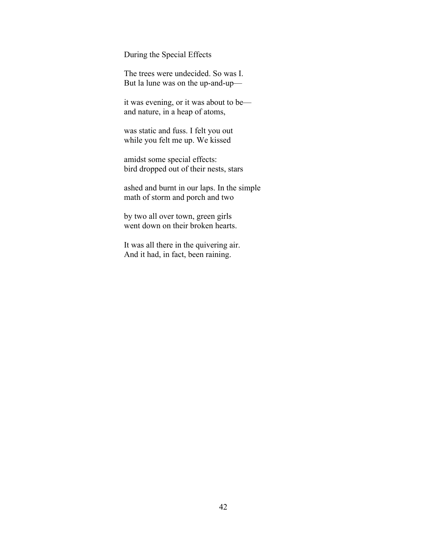During the Special Effects

The trees were undecided. So was I. But la lune was on the up-and-up—

it was evening, or it was about to be and nature, in a heap of atoms,

was static and fuss. I felt you out while you felt me up. We kissed

amidst some special effects: bird dropped out of their nests, stars

ashed and burnt in our laps. In the simple math of storm and porch and two

by two all over town, green girls went down on their broken hearts.

It was all there in the quivering air. And it had, in fact, been raining.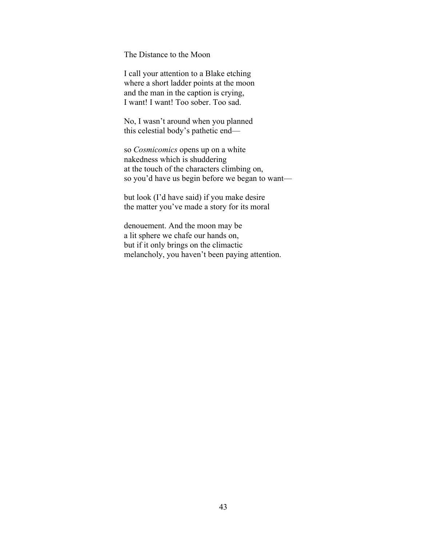The Distance to the Moon

I call your attention to a Blake etching where a short ladder points at the moon and the man in the caption is crying, I want! I want! Too sober. Too sad.

No, I wasn't around when you planned this celestial body's pathetic end—

so *Cosmicomics* opens up on a white nakedness which is shuddering at the touch of the characters climbing on, so you'd have us begin before we began to want—

but look (I'd have said) if you make desire the matter you've made a story for its moral

denouement. And the moon may be a lit sphere we chafe our hands on, but if it only brings on the climactic melancholy, you haven't been paying attention.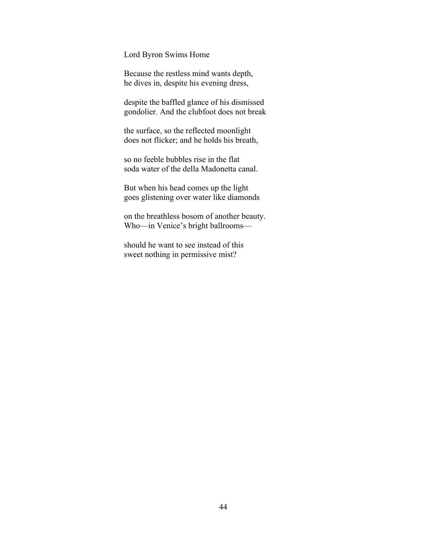Lord Byron Swims Home

Because the restless mind wants depth, he dives in, despite his evening dress,

despite the baffled glance of his dismissed gondolier. And the clubfoot does not break

the surface, so the reflected moonlight does not flicker; and he holds his breath,

so no feeble bubbles rise in the flat soda water of the della Madonetta canal.

But when his head comes up the light goes glistening over water like diamonds

on the breathless bosom of another beauty. Who—in Venice's bright ballrooms—

should he want to see instead of this sweet nothing in permissive mist?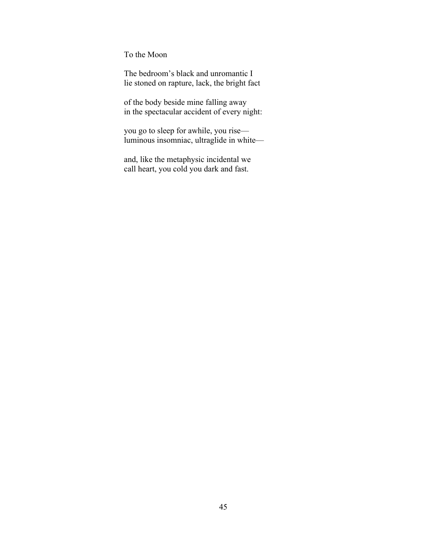To the Moon

The bedroom's black and unromantic I lie stoned on rapture, lack, the bright fact

of the body beside mine falling away in the spectacular accident of every night:

you go to sleep for awhile, you rise luminous insomniac, ultraglide in white—

and, like the metaphysic incidental we call heart, you cold you dark and fast.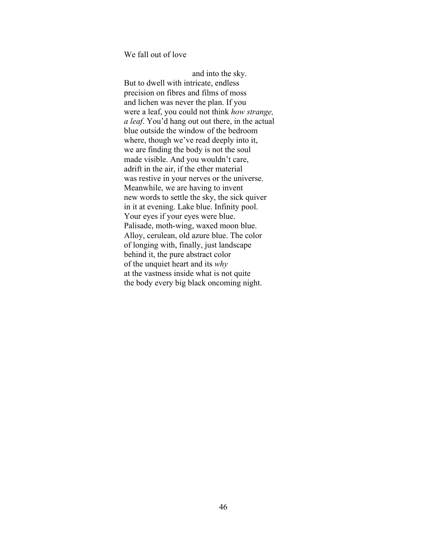We fall out of love

 and into the sky. But to dwell with intricate, endless precision on fibres and films of moss and lichen was never the plan. If you were a leaf, you could not think *how strange, a leaf*. You'd hang out out there, in the actual blue outside the window of the bedroom where, though we've read deeply into it, we are finding the body is not the soul made visible. And you wouldn't care, adrift in the air, if the ether material was restive in your nerves or the universe. Meanwhile, we are having to invent new words to settle the sky, the sick quiver in it at evening. Lake blue. Infinity pool. Your eyes if your eyes were blue. Palisade, moth-wing, waxed moon blue. Alloy, cerulean, old azure blue. The color of longing with, finally, just landscape behind it, the pure abstract color of the unquiet heart and its *why* at the vastness inside what is not quite the body every big black oncoming night.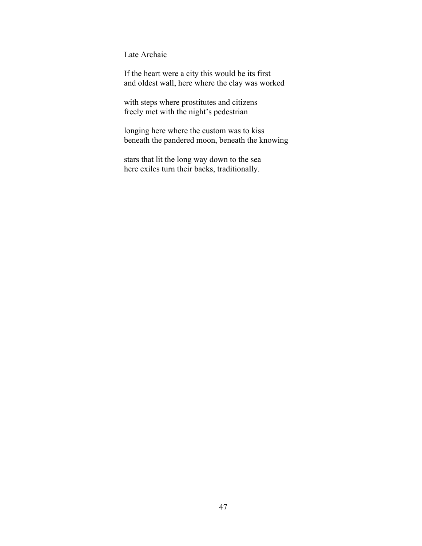Late Archaic

If the heart were a city this would be its first and oldest wall, here where the clay was worked

with steps where prostitutes and citizens freely met with the night's pedestrian

longing here where the custom was to kiss beneath the pandered moon, beneath the knowing

stars that lit the long way down to the sea here exiles turn their backs, traditionally.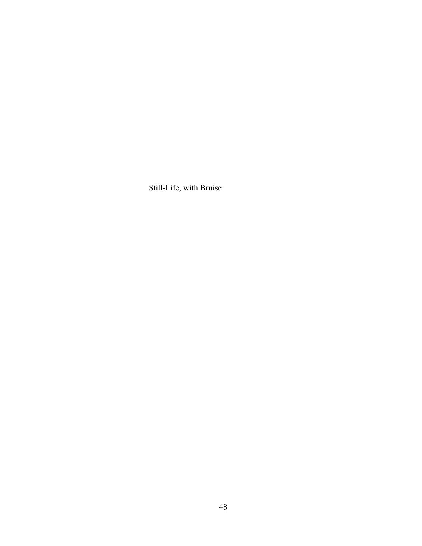Still-Life, with Bruise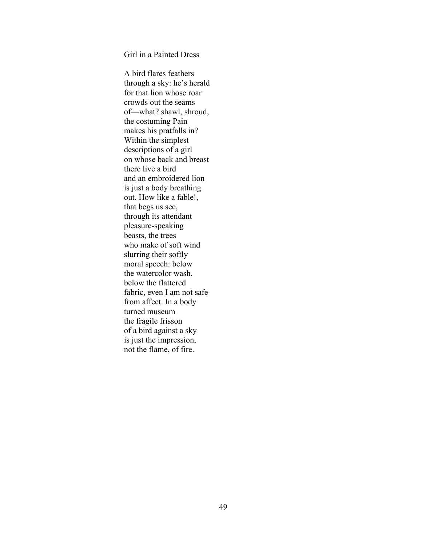Girl in a Painted Dress

A bird flares feathers through a sky: he's herald for that lion whose roar crowds out the seams of—what? shawl, shroud, the costuming Pain makes his pratfalls in? Within the simplest descriptions of a girl on whose back and breast there live a bird and an embroidered lion is just a body breathing out. How like a fable!, that begs us see, through its attendant pleasure-speaking beasts, the trees who make of soft wind slurring their softly moral speech: below the watercolor wash, below the flattered fabric, even I am not safe from affect. In a body turned museum the fragile frisson of a bird against a sky is just the impression, not the flame, of fire.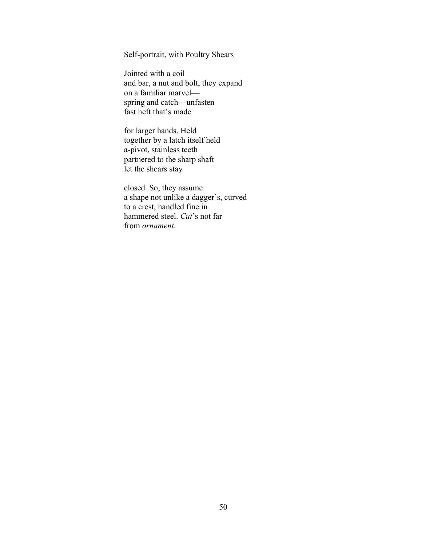Self-portrait, with Poultry Shears

Jointed with a coil and bar, a nut and bolt, they expand on a familiar marvel spring and catch—unfasten fast heft that's made

for larger hands. Held together by a latch itself held a-pivot, stainless teeth partnered to the sharp shaft let the shears stay

closed. So, they assume a shape not unlike a dagger's, curved to a crest, handled fine in hammered steel. *Cut*'s not far from *ornament*.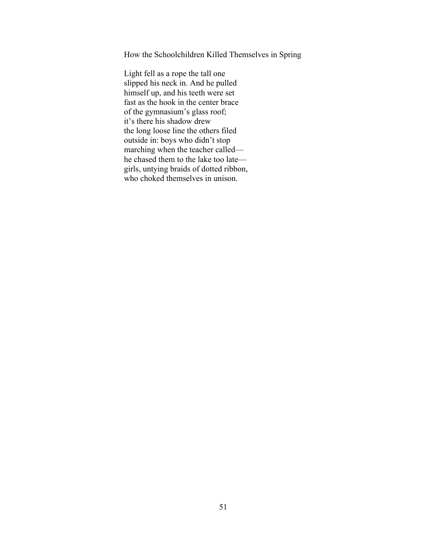How the Schoolchildren Killed Themselves in Spring

Light fell as a rope the tall one slipped his neck in. And he pulled himself up, and his teeth were set fast as the hook in the center brace of the gymnasium's glass roof; it's there his shadow drew the long loose line the others filed outside in: boys who didn't stop marching when the teacher called he chased them to the lake too late girls, untying braids of dotted ribbon, who choked themselves in unison.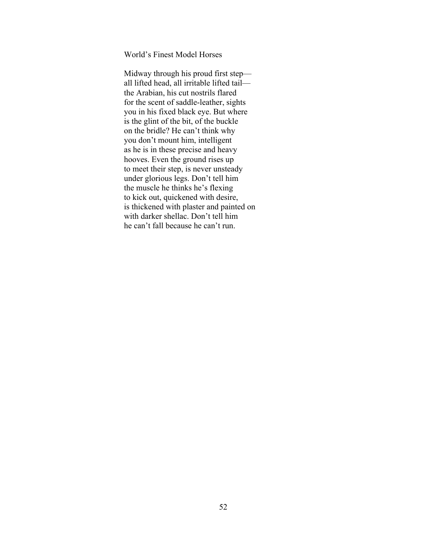World's Finest Model Horses

Midway through his proud first step all lifted head, all irritable lifted tail the Arabian, his cut nostrils flared for the scent of saddle-leather, sights you in his fixed black eye. But where is the glint of the bit, of the buckle on the bridle? He can't think why you don't mount him, intelligent as he is in these precise and heavy hooves. Even the ground rises up to meet their step, is never unsteady under glorious legs. Don't tell him the muscle he thinks he's flexing to kick out, quickened with desire, is thickened with plaster and painted on with darker shellac. Don't tell him he can't fall because he can't run.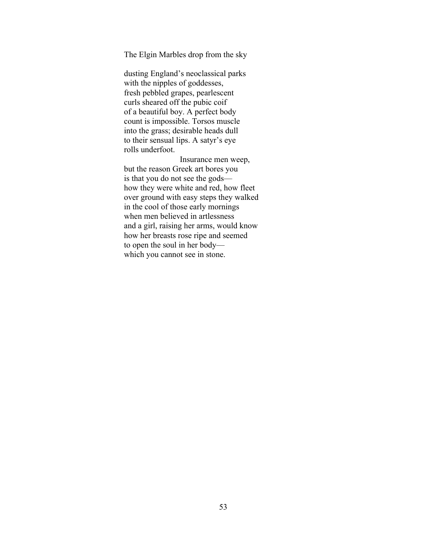The Elgin Marbles drop from the sky

dusting England's neoclassical parks with the nipples of goddesses, fresh pebbled grapes, pearlescent curls sheared off the pubic coif of a beautiful boy. A perfect body count is impossible. Torsos muscle into the grass; desirable heads dull to their sensual lips. A satyr's eye rolls underfoot.

 Insurance men weep, but the reason Greek art bores you is that you do not see the gods how they were white and red, how fleet over ground with easy steps they walked in the cool of those early mornings when men believed in artlessness and a girl, raising her arms, would know how her breasts rose ripe and seemed to open the soul in her body which you cannot see in stone.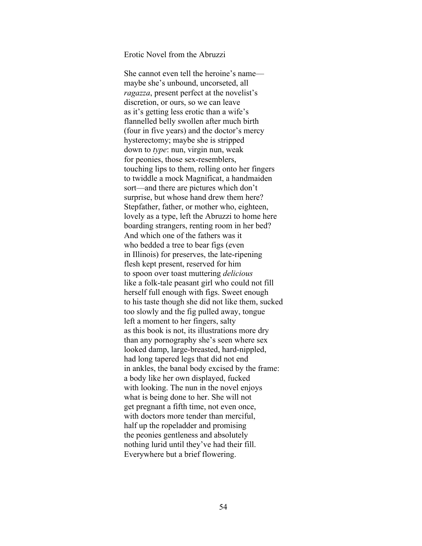## Erotic Novel from the Abruzzi

She cannot even tell the heroine's name maybe she's unbound, uncorseted, all *ragazza*, present perfect at the novelist's discretion, or ours, so we can leave as it's getting less erotic than a wife's flannelled belly swollen after much birth (four in five years) and the doctor's mercy hysterectomy; maybe she is stripped down to *type*: nun, virgin nun, weak for peonies, those sex-resemblers, touching lips to them, rolling onto her fingers to twiddle a mock Magnificat, a handmaiden sort—and there are pictures which don't surprise, but whose hand drew them here? Stepfather, father, or mother who, eighteen, lovely as a type, left the Abruzzi to home here boarding strangers, renting room in her bed? And which one of the fathers was it who bedded a tree to bear figs (even in Illinois) for preserves, the late-ripening flesh kept present, reserved for him to spoon over toast muttering *delicious* like a folk-tale peasant girl who could not fill herself full enough with figs. Sweet enough to his taste though she did not like them, sucked too slowly and the fig pulled away, tongue left a moment to her fingers, salty as this book is not, its illustrations more dry than any pornography she's seen where sex looked damp, large-breasted, hard-nippled, had long tapered legs that did not end in ankles, the banal body excised by the frame: a body like her own displayed, fucked with looking. The nun in the novel enjoys what is being done to her. She will not get pregnant a fifth time, not even once, with doctors more tender than merciful, half up the ropeladder and promising the peonies gentleness and absolutely nothing lurid until they've had their fill. Everywhere but a brief flowering.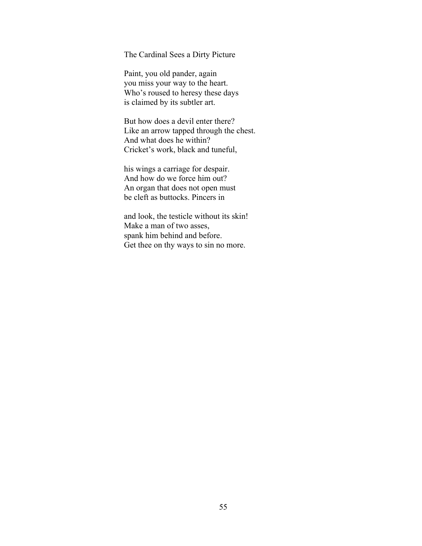The Cardinal Sees a Dirty Picture

Paint, you old pander, again you miss your way to the heart. Who's roused to heresy these days is claimed by its subtler art.

But how does a devil enter there? Like an arrow tapped through the chest. And what does he within? Cricket's work, black and tuneful,

his wings a carriage for despair. And how do we force him out? An organ that does not open must be cleft as buttocks. Pincers in

and look, the testicle without its skin! Make a man of two asses, spank him behind and before. Get thee on thy ways to sin no more.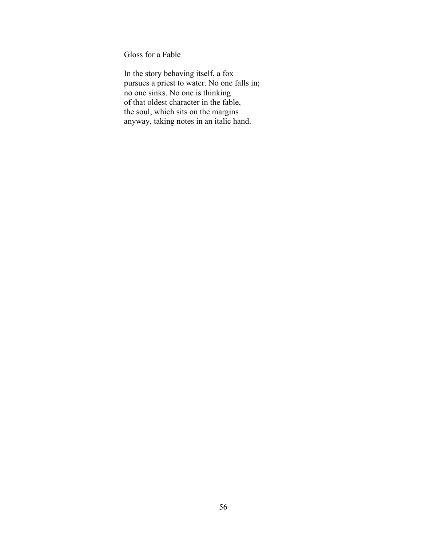Gloss for a Fable

In the story behaving itself, a fox pursues a priest to water. No one falls in; no one sinks. No one is thinking of that oldest character in the fable, the soul, which sits on the margins anyway, taking notes in an italic hand.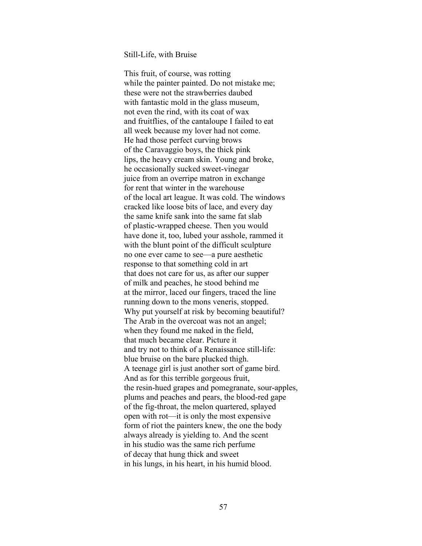## Still-Life, with Bruise

This fruit, of course, was rotting while the painter painted. Do not mistake me; these were not the strawberries daubed with fantastic mold in the glass museum, not even the rind, with its coat of wax and fruitflies, of the cantaloupe I failed to eat all week because my lover had not come. He had those perfect curving brows of the Caravaggio boys, the thick pink lips, the heavy cream skin. Young and broke, he occasionally sucked sweet-vinegar juice from an overripe matron in exchange for rent that winter in the warehouse of the local art league. It was cold. The windows cracked like loose bits of lace, and every day the same knife sank into the same fat slab of plastic-wrapped cheese. Then you would have done it, too, lubed your asshole, rammed it with the blunt point of the difficult sculpture no one ever came to see—a pure aesthetic response to that something cold in art that does not care for us, as after our supper of milk and peaches, he stood behind me at the mirror, laced our fingers, traced the line running down to the mons veneris, stopped. Why put yourself at risk by becoming beautiful? The Arab in the overcoat was not an angel; when they found me naked in the field, that much became clear. Picture it and try not to think of a Renaissance still-life: blue bruise on the bare plucked thigh. A teenage girl is just another sort of game bird. And as for this terrible gorgeous fruit, the resin-hued grapes and pomegranate, sour-apples, plums and peaches and pears, the blood-red gape of the fig-throat, the melon quartered, splayed open with rot—it is only the most expensive form of riot the painters knew, the one the body always already is yielding to. And the scent in his studio was the same rich perfume of decay that hung thick and sweet in his lungs, in his heart, in his humid blood.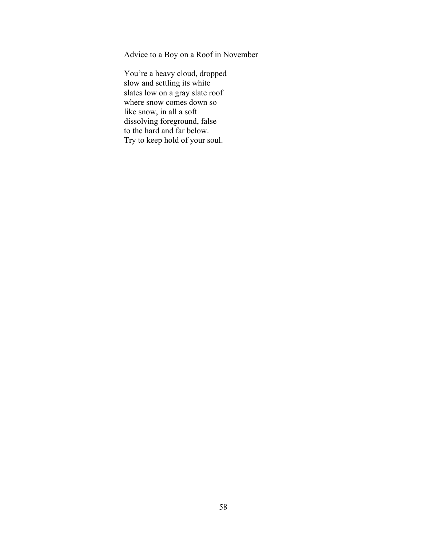Advice to a Boy on a Roof in November

You're a heavy cloud, dropped slow and settling its white slates low on a gray slate roof where snow comes down so like snow, in all a soft dissolving foreground, false to the hard and far below. Try to keep hold of your soul.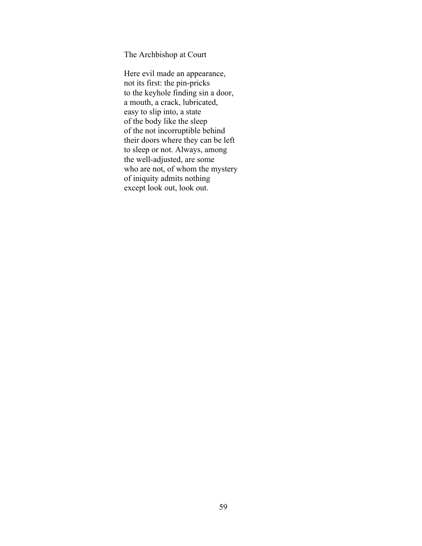The Archbishop at Court

Here evil made an appearance, not its first: the pin-pricks to the keyhole finding sin a door, a mouth, a crack, lubricated, easy to slip into, a state of the body like the sleep of the not incorruptible behind their doors where they can be left to sleep or not. Always, among the well-adjusted, are some who are not, of whom the mystery of iniquity admits nothing except look out, look out.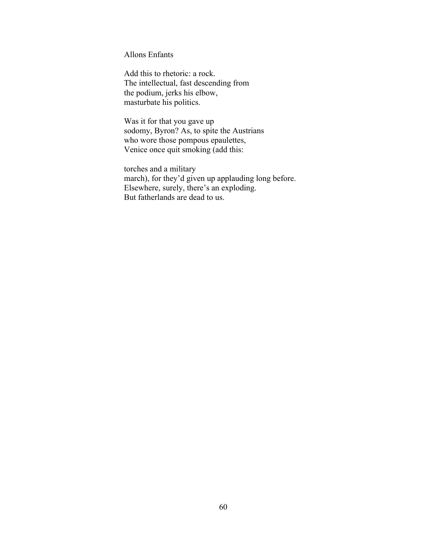Allons Enfants

Add this to rhetoric: a rock. The intellectual, fast descending from the podium, jerks his elbow, masturbate his politics.

Was it for that you gave up sodomy, Byron? As, to spite the Austrians who wore those pompous epaulettes, Venice once quit smoking (add this:

torches and a military march), for they'd given up applauding long before. Elsewhere, surely, there's an exploding. But fatherlands are dead to us.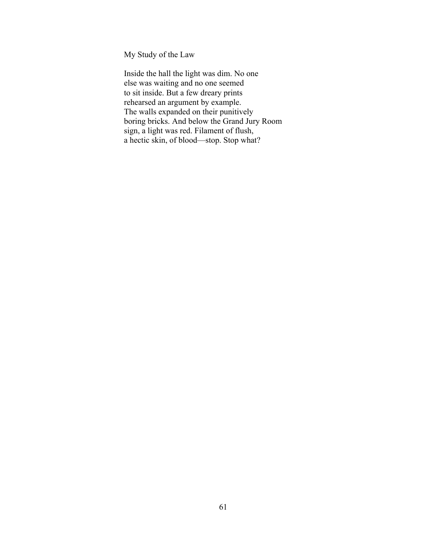My Study of the Law

Inside the hall the light was dim. No one else was waiting and no one seemed to sit inside. But a few dreary prints rehearsed an argument by example. The walls expanded on their punitively boring bricks. And below the Grand Jury Room sign, a light was red. Filament of flush, a hectic skin, of blood—stop. Stop what?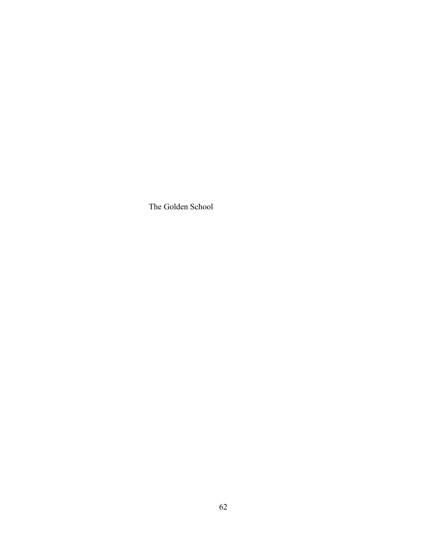The Golden School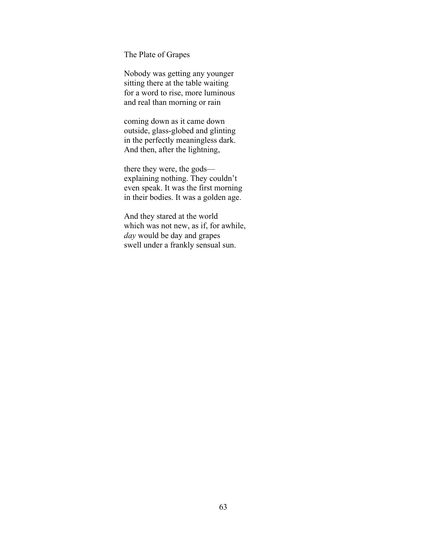The Plate of Grapes

Nobody was getting any younger sitting there at the table waiting for a word to rise, more luminous and real than morning or rain

coming down as it came down outside, glass-globed and glinting in the perfectly meaningless dark. And then, after the lightning,

there they were, the gods explaining nothing. They couldn't even speak. It was the first morning in their bodies. It was a golden age.

And they stared at the world which was not new, as if, for awhile, *day* would be day and grapes swell under a frankly sensual sun.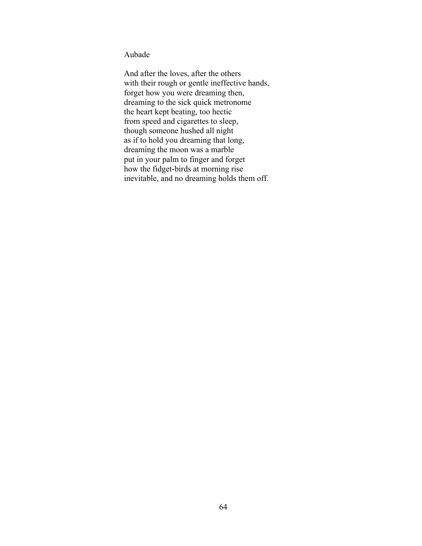Aubade

And after the loves, after the others with their rough or gentle ineffective hands, forget how you were dreaming then, dreaming to the sick quick metronome the heart kept beating, too hectic from speed and cigarettes to sleep, though someone hushed all night as if to hold you dreaming that long, dreaming the moon was a marble put in your palm to finger and forget how the fidget-birds at morning rise inevitable, and no dreaming holds them off.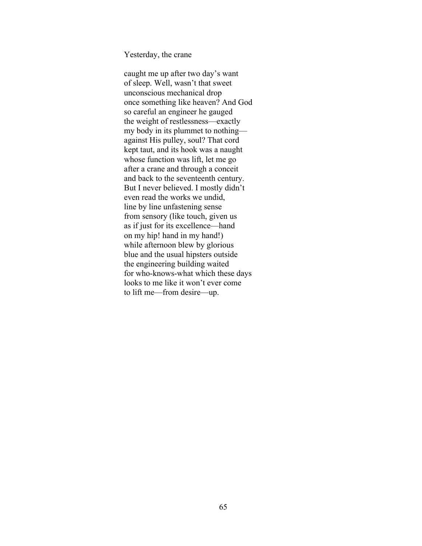Yesterday, the crane

caught me up after two day's want of sleep. Well, wasn't that sweet unconscious mechanical drop once something like heaven? And God so careful an engineer he gauged the weight of restlessness—exactly my body in its plummet to nothing against His pulley, soul? That cord kept taut, and its hook was a naught whose function was lift, let me go after a crane and through a conceit and back to the seventeenth century. But I never believed. I mostly didn't even read the works we undid, line by line unfastening sense from sensory (like touch, given us as if just for its excellence—hand on my hip! hand in my hand!) while afternoon blew by glorious blue and the usual hipsters outside the engineering building waited for who-knows-what which these days looks to me like it won't ever come to lift me—from desire—up.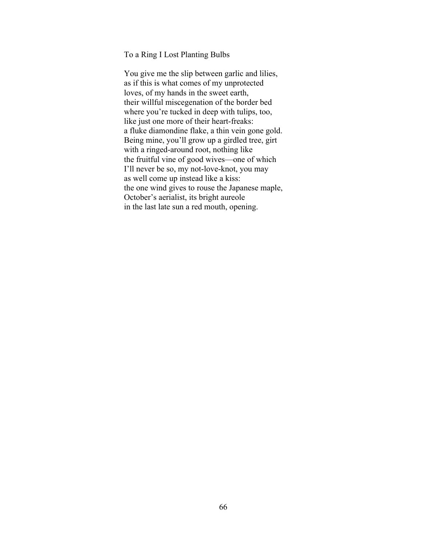To a Ring I Lost Planting Bulbs

You give me the slip between garlic and lilies, as if this is what comes of my unprotected loves, of my hands in the sweet earth, their willful miscegenation of the border bed where you're tucked in deep with tulips, too, like just one more of their heart-freaks: a fluke diamondine flake, a thin vein gone gold. Being mine, you'll grow up a girdled tree, girt with a ringed-around root, nothing like the fruitful vine of good wives—one of which I'll never be so, my not-love-knot, you may as well come up instead like a kiss: the one wind gives to rouse the Japanese maple, October's aerialist, its bright aureole in the last late sun a red mouth, opening.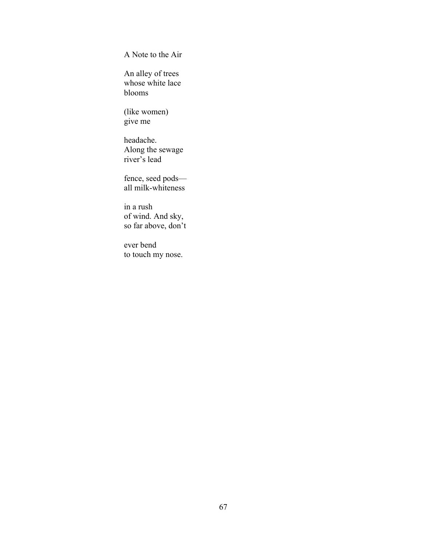A Note to the Air

An alley of trees whose white lace blooms

(like women) give me

headache. Along the sewage river's lead

fence, seed pods all milk-whiteness

in a rush of wind. And sky, so far above, don't

ever bend to touch my nose.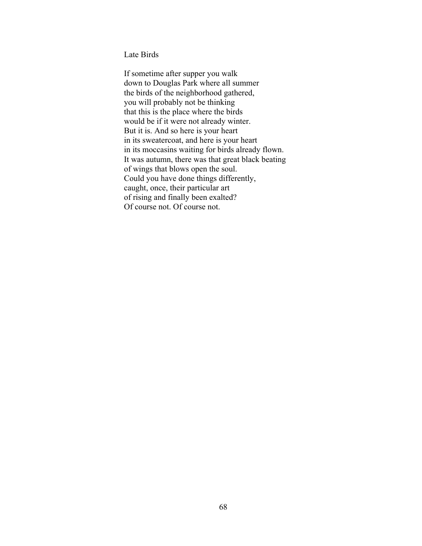Late Birds

If sometime after supper you walk down to Douglas Park where all summer the birds of the neighborhood gathered, you will probably not be thinking that this is the place where the birds would be if it were not already winter. But it is. And so here is your heart in its sweatercoat, and here is your heart in its moccasins waiting for birds already flown. It was autumn, there was that great black beating of wings that blows open the soul. Could you have done things differently, caught, once, their particular art of rising and finally been exalted? Of course not. Of course not.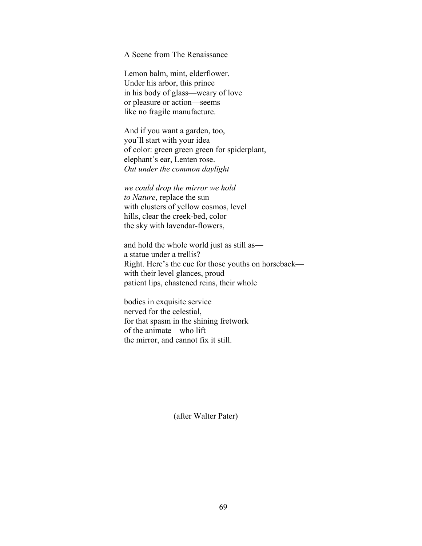A Scene from The Renaissance

Lemon balm, mint, elderflower. Under his arbor, this prince in his body of glass—weary of love or pleasure or action—seems like no fragile manufacture.

And if you want a garden, too, you'll start with your idea of color: green green green for spiderplant, elephant's ear, Lenten rose. *Out under the common daylight*

*we could drop the mirror we hold to Nature*, replace the sun with clusters of yellow cosmos, level hills, clear the creek-bed, color the sky with lavendar-flowers,

and hold the whole world just as still as a statue under a trellis? Right. Here's the cue for those youths on horseback with their level glances, proud patient lips, chastened reins, their whole

bodies in exquisite service nerved for the celestial, for that spasm in the shining fretwork of the animate—who lift the mirror, and cannot fix it still.

(after Walter Pater)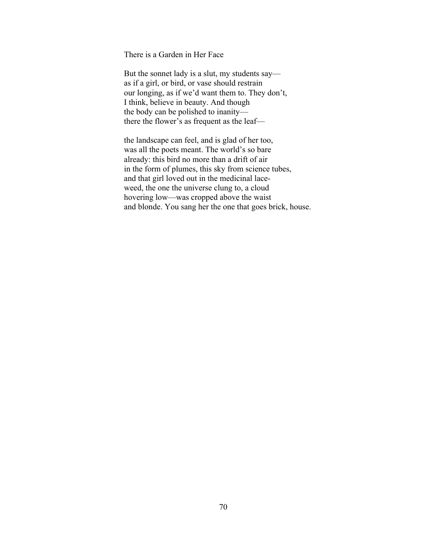There is a Garden in Her Face

But the sonnet lady is a slut, my students say as if a girl, or bird, or vase should restrain our longing, as if we'd want them to. They don't, I think, believe in beauty. And though the body can be polished to inanity there the flower's as frequent as the leaf—

the landscape can feel, and is glad of her too, was all the poets meant. The world's so bare already: this bird no more than a drift of air in the form of plumes, this sky from science tubes, and that girl loved out in the medicinal laceweed, the one the universe clung to, a cloud hovering low—was cropped above the waist and blonde. You sang her the one that goes brick, house.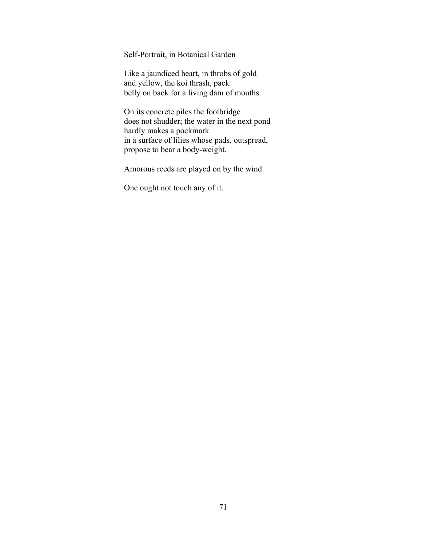Self-Portrait, in Botanical Garden

Like a jaundiced heart, in throbs of gold and yellow, the koi thrash, pack belly on back for a living dam of mouths.

On its concrete piles the footbridge does not shudder; the water in the next pond hardly makes a pockmark in a surface of lilies whose pads, outspread, propose to bear a body-weight.

Amorous reeds are played on by the wind.

One ought not touch any of it.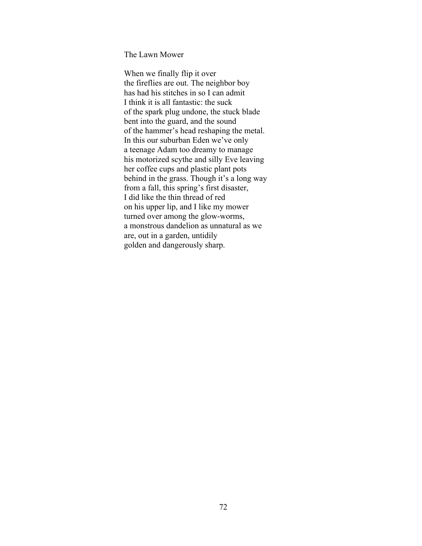The Lawn Mower

When we finally flip it over the fireflies are out. The neighbor boy has had his stitches in so I can admit I think it is all fantastic: the suck of the spark plug undone, the stuck blade bent into the guard, and the sound of the hammer's head reshaping the metal. In this our suburban Eden we've only a teenage Adam too dreamy to manage his motorized scythe and silly Eve leaving her coffee cups and plastic plant pots behind in the grass. Though it's a long way from a fall, this spring's first disaster, I did like the thin thread of red on his upper lip, and I like my mower turned over among the glow-worms, a monstrous dandelion as unnatural as we are, out in a garden, untidily golden and dangerously sharp.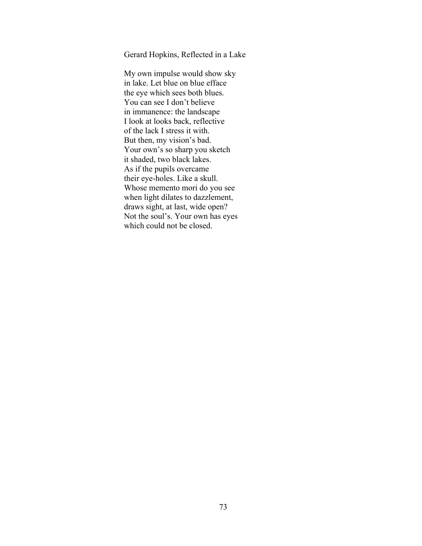Gerard Hopkins, Reflected in a Lake

My own impulse would show sky in lake. Let blue on blue efface the eye which sees both blues. You can see I don't believe in immanence: the landscape I look at looks back, reflective of the lack I stress it with. But then, my vision's bad. Your own's so sharp you sketch it shaded, two black lakes. As if the pupils overcame their eye-holes. Like a skull. Whose memento mori do you see when light dilates to dazzlement, draws sight, at last, wide open? Not the soul's. Your own has eyes which could not be closed.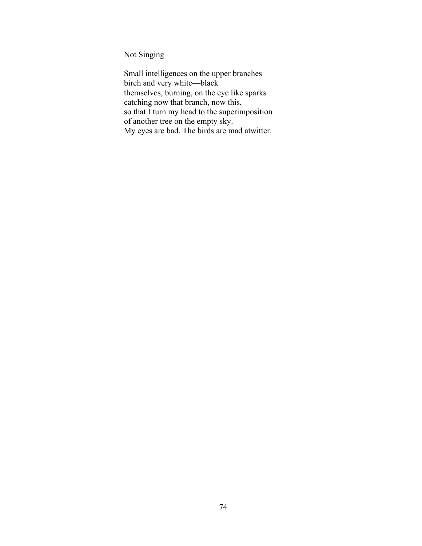Not Singing

Small intelligences on the upper branches birch and very white—black themselves, burning, on the eye like sparks catching now that branch, now this, so that I turn my head to the superimposition of another tree on the empty sky. My eyes are bad. The birds are mad atwitter.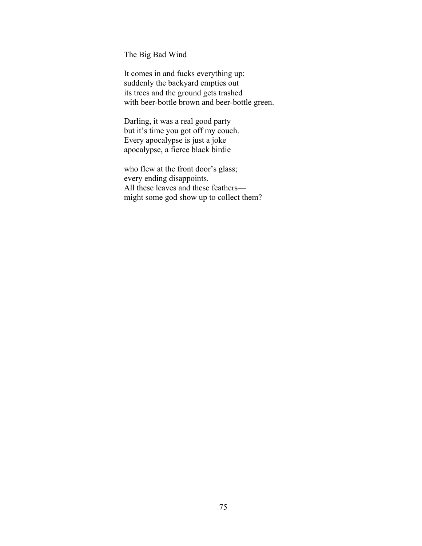The Big Bad Wind

It comes in and fucks everything up: suddenly the backyard empties out its trees and the ground gets trashed with beer-bottle brown and beer-bottle green.

Darling, it was a real good party but it's time you got off my couch. Every apocalypse is just a joke apocalypse, a fierce black birdie

who flew at the front door's glass; every ending disappoints. All these leaves and these feathers might some god show up to collect them?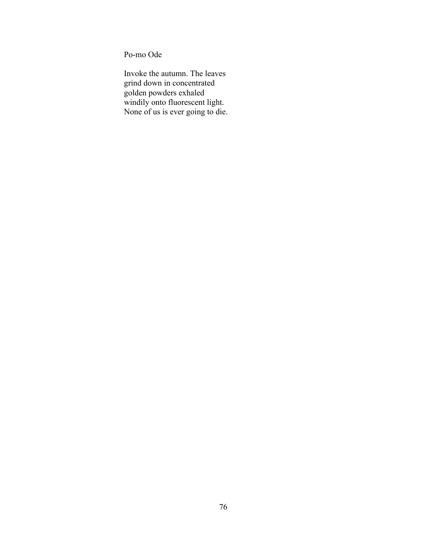Po-mo Ode

Invoke the autumn. The leaves grind down in concentrated golden powders exhaled windily onto fluorescent light. None of us is ever going to die.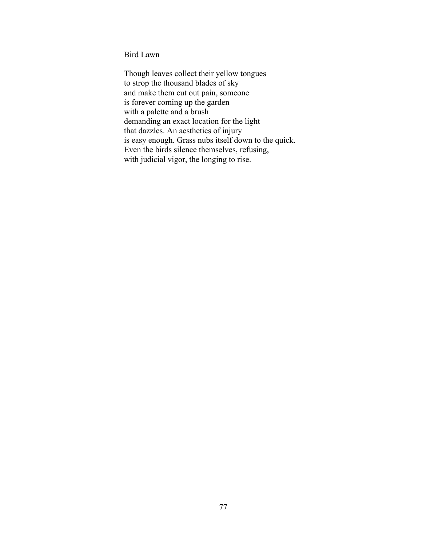Bird Lawn

Though leaves collect their yellow tongues to strop the thousand blades of sky and make them cut out pain, someone is forever coming up the garden with a palette and a brush demanding an exact location for the light that dazzles. An aesthetics of injury is easy enough. Grass nubs itself down to the quick. Even the birds silence themselves, refusing, with judicial vigor, the longing to rise.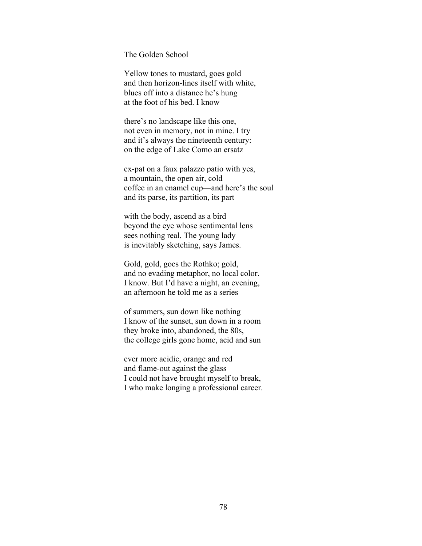The Golden School

Yellow tones to mustard, goes gold and then horizon-lines itself with white, blues off into a distance he's hung at the foot of his bed. I know

there's no landscape like this one, not even in memory, not in mine. I try and it's always the nineteenth century: on the edge of Lake Como an ersatz

ex-pat on a faux palazzo patio with yes, a mountain, the open air, cold coffee in an enamel cup—and here's the soul and its parse, its partition, its part

with the body, ascend as a bird beyond the eye whose sentimental lens sees nothing real. The young lady is inevitably sketching, says James.

Gold, gold, goes the Rothko; gold, and no evading metaphor, no local color. I know. But I'd have a night, an evening, an afternoon he told me as a series

of summers, sun down like nothing I know of the sunset, sun down in a room they broke into, abandoned, the 80s, the college girls gone home, acid and sun

ever more acidic, orange and red and flame-out against the glass I could not have brought myself to break, I who make longing a professional career.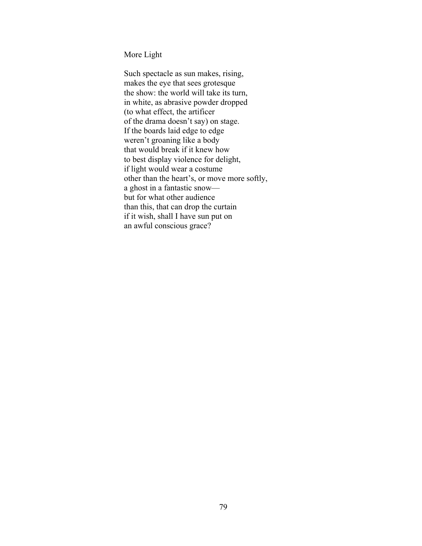More Light

Such spectacle as sun makes, rising, makes the eye that sees grotesque the show: the world will take its turn, in white, as abrasive powder dropped (to what effect, the artificer of the drama doesn't say) on stage. If the boards laid edge to edge weren't groaning like a body that would break if it knew how to best display violence for delight, if light would wear a costume other than the heart's, or move more softly, a ghost in a fantastic snow but for what other audience than this, that can drop the curtain if it wish, shall I have sun put on an awful conscious grace?